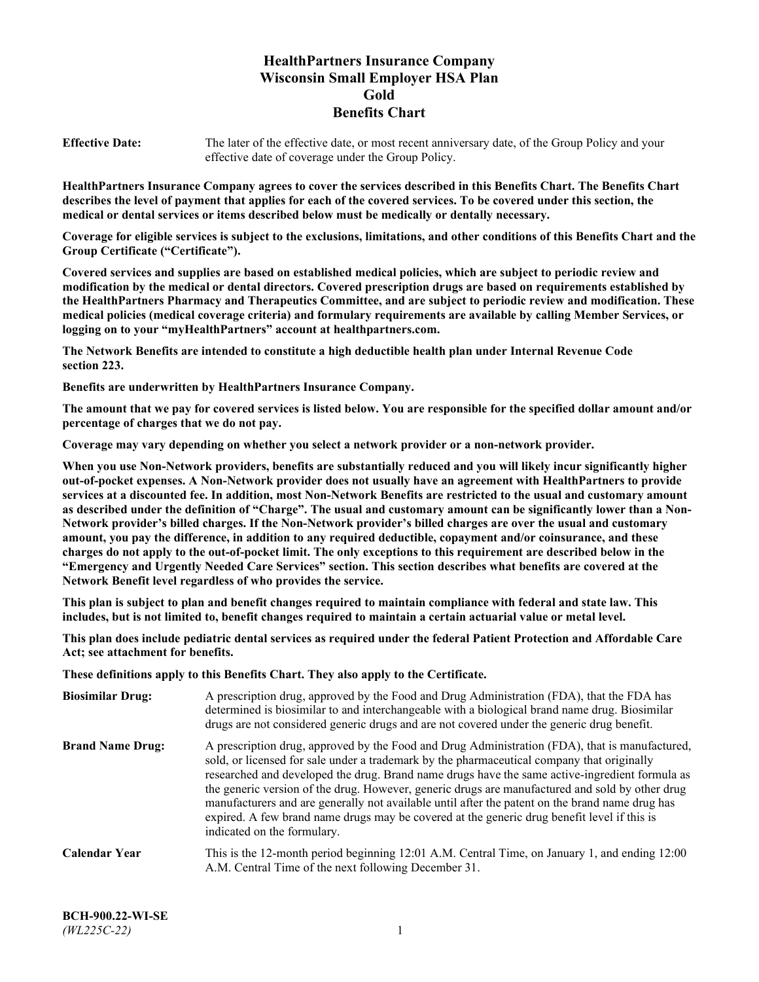# **HealthPartners Insurance Company Wisconsin Small Employer HSA Plan Gold Benefits Chart**

**Effective Date:** The later of the effective date, or most recent anniversary date, of the Group Policy and your effective date of coverage under the Group Policy.

**HealthPartners Insurance Company agrees to cover the services described in this Benefits Chart. The Benefits Chart describes the level of payment that applies for each of the covered services. To be covered under this section, the medical or dental services or items described below must be medically or dentally necessary.**

**Coverage for eligible services is subject to the exclusions, limitations, and other conditions of this Benefits Chart and the Group Certificate ("Certificate").**

**Covered services and supplies are based on established medical policies, which are subject to periodic review and modification by the medical or dental directors. Covered prescription drugs are based on requirements established by the HealthPartners Pharmacy and Therapeutics Committee, and are subject to periodic review and modification. These medical policies (medical coverage criteria) and formulary requirements are available by calling Member Services, or logging on to your "myHealthPartners" account at [healthpartners.com.](https://www.healthpartners.com/hp/index.html)**

**The Network Benefits are intended to constitute a high deductible health plan under Internal Revenue Code section 223.**

**Benefits are underwritten by HealthPartners Insurance Company.**

**The amount that we pay for covered services is listed below. You are responsible for the specified dollar amount and/or percentage of charges that we do not pay.**

**Coverage may vary depending on whether you select a network provider or a non-network provider.**

**When you use Non-Network providers, benefits are substantially reduced and you will likely incur significantly higher out-of-pocket expenses. A Non-Network provider does not usually have an agreement with HealthPartners to provide services at a discounted fee. In addition, most Non-Network Benefits are restricted to the usual and customary amount as described under the definition of "Charge". The usual and customary amount can be significantly lower than a Non-Network provider's billed charges. If the Non-Network provider's billed charges are over the usual and customary amount, you pay the difference, in addition to any required deductible, copayment and/or coinsurance, and these charges do not apply to the out-of-pocket limit. The only exceptions to this requirement are described below in the "Emergency and Urgently Needed Care Services" section. This section describes what benefits are covered at the Network Benefit level regardless of who provides the service.**

**This plan is subject to plan and benefit changes required to maintain compliance with federal and state law. This includes, but is not limited to, benefit changes required to maintain a certain actuarial value or metal level.**

**This plan does include pediatric dental services as required under the federal Patient Protection and Affordable Care Act; see attachment for benefits.**

**These definitions apply to this Benefits Chart. They also apply to the Certificate.**

| <b>Biosimilar Drug:</b> | A prescription drug, approved by the Food and Drug Administration (FDA), that the FDA has<br>determined is biosimilar to and interchangeable with a biological brand name drug. Biosimilar<br>drugs are not considered generic drugs and are not covered under the generic drug benefit.                                                                                                                                                                                                                                                                                                                                           |
|-------------------------|------------------------------------------------------------------------------------------------------------------------------------------------------------------------------------------------------------------------------------------------------------------------------------------------------------------------------------------------------------------------------------------------------------------------------------------------------------------------------------------------------------------------------------------------------------------------------------------------------------------------------------|
| <b>Brand Name Drug:</b> | A prescription drug, approved by the Food and Drug Administration (FDA), that is manufactured,<br>sold, or licensed for sale under a trademark by the pharmaceutical company that originally<br>researched and developed the drug. Brand name drugs have the same active-ingredient formula as<br>the generic version of the drug. However, generic drugs are manufactured and sold by other drug<br>manufacturers and are generally not available until after the patent on the brand name drug has<br>expired. A few brand name drugs may be covered at the generic drug benefit level if this is<br>indicated on the formulary. |
| <b>Calendar Year</b>    | This is the 12-month period beginning 12:01 A.M. Central Time, on January 1, and ending 12:00<br>A.M. Central Time of the next following December 31.                                                                                                                                                                                                                                                                                                                                                                                                                                                                              |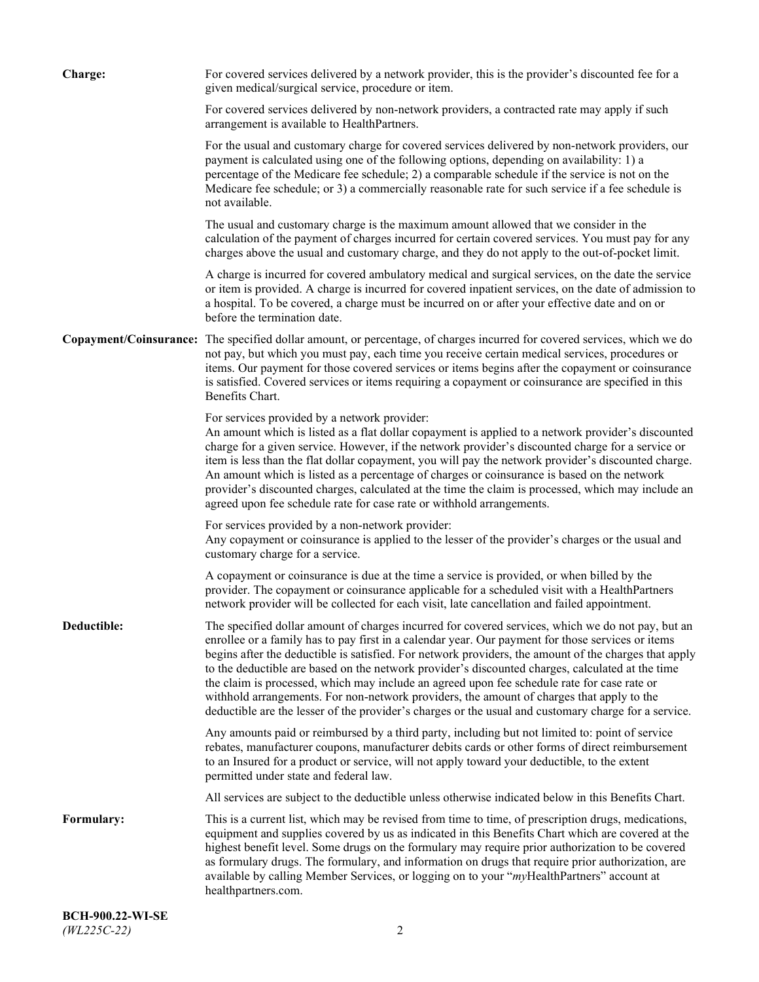| <b>Charge:</b> | For covered services delivered by a network provider, this is the provider's discounted fee for a<br>given medical/surgical service, procedure or item.                                                                                                                                                                                                                                                                                                                                                                                                                                                                                                                                                                 |
|----------------|-------------------------------------------------------------------------------------------------------------------------------------------------------------------------------------------------------------------------------------------------------------------------------------------------------------------------------------------------------------------------------------------------------------------------------------------------------------------------------------------------------------------------------------------------------------------------------------------------------------------------------------------------------------------------------------------------------------------------|
|                | For covered services delivered by non-network providers, a contracted rate may apply if such<br>arrangement is available to HealthPartners.                                                                                                                                                                                                                                                                                                                                                                                                                                                                                                                                                                             |
|                | For the usual and customary charge for covered services delivered by non-network providers, our<br>payment is calculated using one of the following options, depending on availability: 1) a<br>percentage of the Medicare fee schedule; 2) a comparable schedule if the service is not on the<br>Medicare fee schedule; or 3) a commercially reasonable rate for such service if a fee schedule is<br>not available.                                                                                                                                                                                                                                                                                                   |
|                | The usual and customary charge is the maximum amount allowed that we consider in the<br>calculation of the payment of charges incurred for certain covered services. You must pay for any<br>charges above the usual and customary charge, and they do not apply to the out-of-pocket limit.                                                                                                                                                                                                                                                                                                                                                                                                                            |
|                | A charge is incurred for covered ambulatory medical and surgical services, on the date the service<br>or item is provided. A charge is incurred for covered inpatient services, on the date of admission to<br>a hospital. To be covered, a charge must be incurred on or after your effective date and on or<br>before the termination date.                                                                                                                                                                                                                                                                                                                                                                           |
|                | Copayment/Coinsurance: The specified dollar amount, or percentage, of charges incurred for covered services, which we do<br>not pay, but which you must pay, each time you receive certain medical services, procedures or<br>items. Our payment for those covered services or items begins after the copayment or coinsurance<br>is satisfied. Covered services or items requiring a copayment or coinsurance are specified in this<br>Benefits Chart.                                                                                                                                                                                                                                                                 |
|                | For services provided by a network provider:<br>An amount which is listed as a flat dollar copayment is applied to a network provider's discounted<br>charge for a given service. However, if the network provider's discounted charge for a service or<br>item is less than the flat dollar copayment, you will pay the network provider's discounted charge.<br>An amount which is listed as a percentage of charges or coinsurance is based on the network<br>provider's discounted charges, calculated at the time the claim is processed, which may include an<br>agreed upon fee schedule rate for case rate or withhold arrangements.                                                                            |
|                | For services provided by a non-network provider:<br>Any copayment or coinsurance is applied to the lesser of the provider's charges or the usual and<br>customary charge for a service.                                                                                                                                                                                                                                                                                                                                                                                                                                                                                                                                 |
|                | A copayment or coinsurance is due at the time a service is provided, or when billed by the<br>provider. The copayment or coinsurance applicable for a scheduled visit with a HealthPartners<br>network provider will be collected for each visit, late cancellation and failed appointment.                                                                                                                                                                                                                                                                                                                                                                                                                             |
| Deductible:    | The specified dollar amount of charges incurred for covered services, which we do not pay, but an<br>enrollee or a family has to pay first in a calendar year. Our payment for those services or items<br>begins after the deductible is satisfied. For network providers, the amount of the charges that apply<br>to the deductible are based on the network provider's discounted charges, calculated at the time<br>the claim is processed, which may include an agreed upon fee schedule rate for case rate or<br>withhold arrangements. For non-network providers, the amount of charges that apply to the<br>deductible are the lesser of the provider's charges or the usual and customary charge for a service. |
|                | Any amounts paid or reimbursed by a third party, including but not limited to: point of service<br>rebates, manufacturer coupons, manufacturer debits cards or other forms of direct reimbursement<br>to an Insured for a product or service, will not apply toward your deductible, to the extent<br>permitted under state and federal law.                                                                                                                                                                                                                                                                                                                                                                            |
|                | All services are subject to the deductible unless otherwise indicated below in this Benefits Chart.                                                                                                                                                                                                                                                                                                                                                                                                                                                                                                                                                                                                                     |
| Formulary:     | This is a current list, which may be revised from time to time, of prescription drugs, medications,<br>equipment and supplies covered by us as indicated in this Benefits Chart which are covered at the<br>highest benefit level. Some drugs on the formulary may require prior authorization to be covered<br>as formulary drugs. The formulary, and information on drugs that require prior authorization, are<br>available by calling Member Services, or logging on to your "myHealthPartners" account at<br>healthpartners.com.                                                                                                                                                                                   |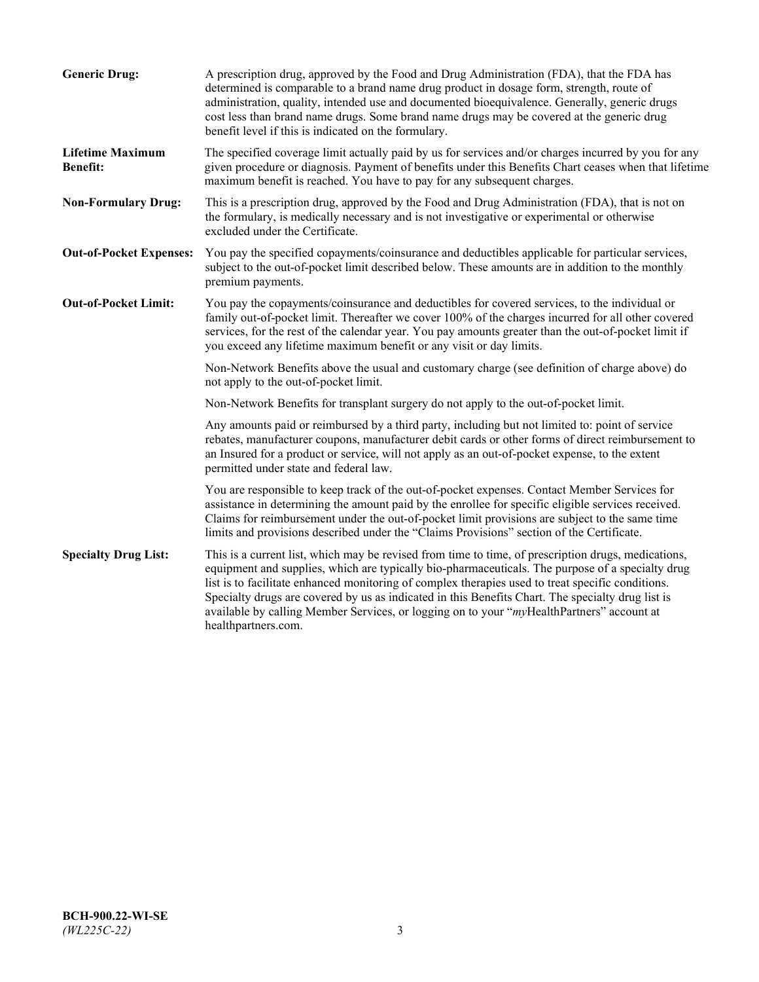| <b>Generic Drug:</b>                       | A prescription drug, approved by the Food and Drug Administration (FDA), that the FDA has<br>determined is comparable to a brand name drug product in dosage form, strength, route of<br>administration, quality, intended use and documented bioequivalence. Generally, generic drugs<br>cost less than brand name drugs. Some brand name drugs may be covered at the generic drug<br>benefit level if this is indicated on the formulary.                                                                                           |
|--------------------------------------------|---------------------------------------------------------------------------------------------------------------------------------------------------------------------------------------------------------------------------------------------------------------------------------------------------------------------------------------------------------------------------------------------------------------------------------------------------------------------------------------------------------------------------------------|
| <b>Lifetime Maximum</b><br><b>Benefit:</b> | The specified coverage limit actually paid by us for services and/or charges incurred by you for any<br>given procedure or diagnosis. Payment of benefits under this Benefits Chart ceases when that lifetime<br>maximum benefit is reached. You have to pay for any subsequent charges.                                                                                                                                                                                                                                              |
| <b>Non-Formulary Drug:</b>                 | This is a prescription drug, approved by the Food and Drug Administration (FDA), that is not on<br>the formulary, is medically necessary and is not investigative or experimental or otherwise<br>excluded under the Certificate.                                                                                                                                                                                                                                                                                                     |
| <b>Out-of-Pocket Expenses:</b>             | You pay the specified copayments/coinsurance and deductibles applicable for particular services,<br>subject to the out-of-pocket limit described below. These amounts are in addition to the monthly<br>premium payments.                                                                                                                                                                                                                                                                                                             |
| <b>Out-of-Pocket Limit:</b>                | You pay the copayments/coinsurance and deductibles for covered services, to the individual or<br>family out-of-pocket limit. Thereafter we cover 100% of the charges incurred for all other covered<br>services, for the rest of the calendar year. You pay amounts greater than the out-of-pocket limit if<br>you exceed any lifetime maximum benefit or any visit or day limits.                                                                                                                                                    |
|                                            | Non-Network Benefits above the usual and customary charge (see definition of charge above) do<br>not apply to the out-of-pocket limit.                                                                                                                                                                                                                                                                                                                                                                                                |
|                                            | Non-Network Benefits for transplant surgery do not apply to the out-of-pocket limit.                                                                                                                                                                                                                                                                                                                                                                                                                                                  |
|                                            | Any amounts paid or reimbursed by a third party, including but not limited to: point of service<br>rebates, manufacturer coupons, manufacturer debit cards or other forms of direct reimbursement to<br>an Insured for a product or service, will not apply as an out-of-pocket expense, to the extent<br>permitted under state and federal law.                                                                                                                                                                                      |
|                                            | You are responsible to keep track of the out-of-pocket expenses. Contact Member Services for<br>assistance in determining the amount paid by the enrollee for specific eligible services received.<br>Claims for reimbursement under the out-of-pocket limit provisions are subject to the same time<br>limits and provisions described under the "Claims Provisions" section of the Certificate.                                                                                                                                     |
| <b>Specialty Drug List:</b>                | This is a current list, which may be revised from time to time, of prescription drugs, medications,<br>equipment and supplies, which are typically bio-pharmaceuticals. The purpose of a specialty drug<br>list is to facilitate enhanced monitoring of complex therapies used to treat specific conditions.<br>Specialty drugs are covered by us as indicated in this Benefits Chart. The specialty drug list is<br>available by calling Member Services, or logging on to your "myHealthPartners" account at<br>healthpartners.com. |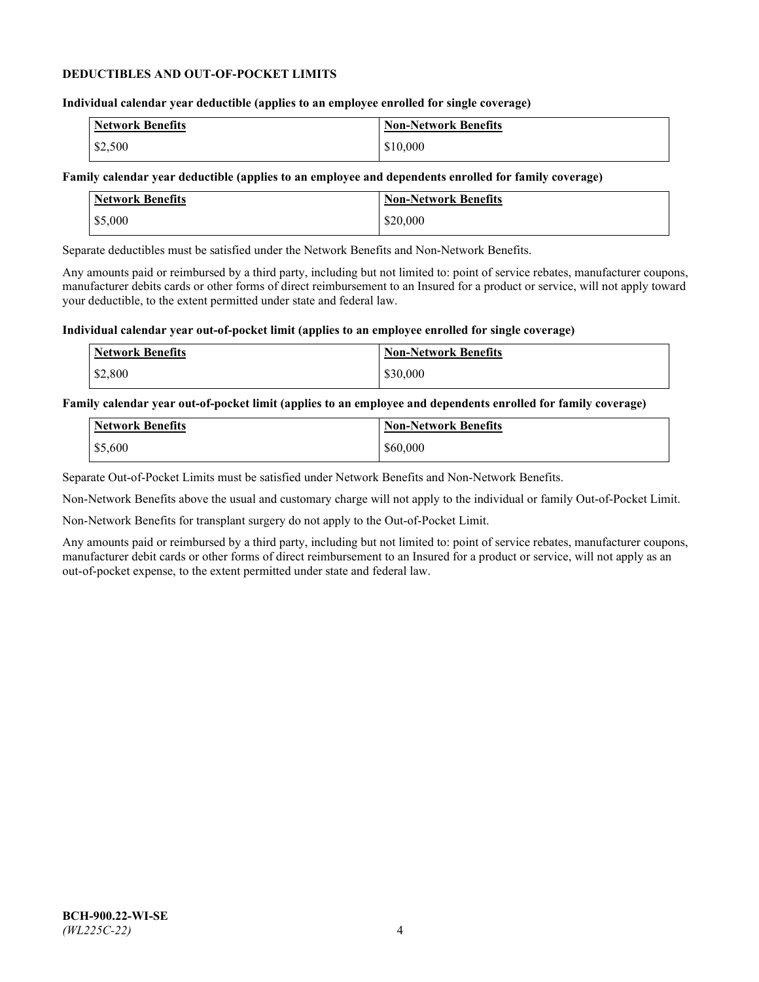## **DEDUCTIBLES AND OUT-OF-POCKET LIMITS**

## **Individual calendar year deductible (applies to an employee enrolled for single coverage)**

| Network Benefits | <b>Non-Network Benefits</b> |
|------------------|-----------------------------|
| \$2,500          | \$10,000                    |

## **Family calendar year deductible (applies to an employee and dependents enrolled for family coverage)**

| <b>Network Benefits</b> | <b>Non-Network Benefits</b> |
|-------------------------|-----------------------------|
| \$5,000                 | \$20,000                    |

Separate deductibles must be satisfied under the Network Benefits and Non-Network Benefits.

Any amounts paid or reimbursed by a third party, including but not limited to: point of service rebates, manufacturer coupons, manufacturer debits cards or other forms of direct reimbursement to an Insured for a product or service, will not apply toward your deductible, to the extent permitted under state and federal law.

## **Individual calendar year out-of-pocket limit (applies to an employee enrolled for single coverage)**

| <b>Network Benefits</b> | <b>Non-Network Benefits</b> |
|-------------------------|-----------------------------|
| \$2,800                 | \$30,000                    |

## **Family calendar year out-of-pocket limit (applies to an employee and dependents enrolled for family coverage)**

| <b>Network Benefits</b> | <b>Non-Network Benefits</b> |
|-------------------------|-----------------------------|
| \$5,600                 | \$60,000                    |

Separate Out-of-Pocket Limits must be satisfied under Network Benefits and Non-Network Benefits.

Non-Network Benefits above the usual and customary charge will not apply to the individual or family Out-of-Pocket Limit.

Non-Network Benefits for transplant surgery do not apply to the Out-of-Pocket Limit.

Any amounts paid or reimbursed by a third party, including but not limited to: point of service rebates, manufacturer coupons, manufacturer debit cards or other forms of direct reimbursement to an Insured for a product or service, will not apply as an out-of-pocket expense, to the extent permitted under state and federal law.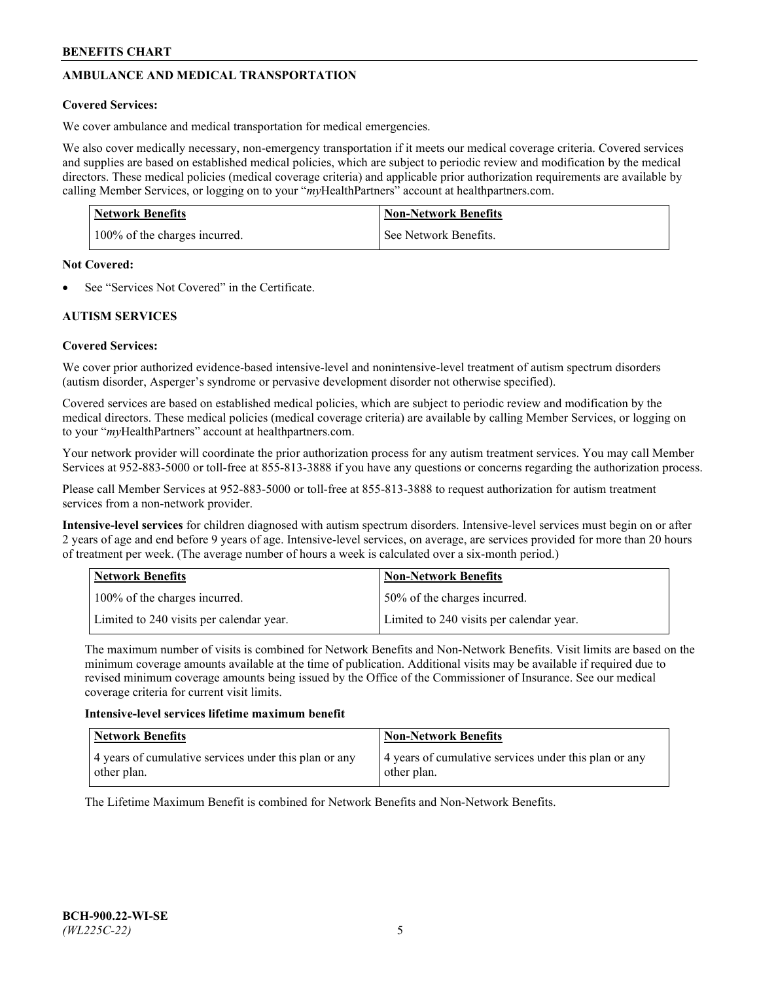# **AMBULANCE AND MEDICAL TRANSPORTATION**

# **Covered Services:**

We cover ambulance and medical transportation for medical emergencies.

We also cover medically necessary, non-emergency transportation if it meets our medical coverage criteria. Covered services and supplies are based on established medical policies, which are subject to periodic review and modification by the medical directors. These medical policies (medical coverage criteria) and applicable prior authorization requirements are available by calling Member Services, or logging on to your "*my*HealthPartners" account a[t healthpartners.com.](https://www.healthpartners.com/hp/index.html)

| <b>Network Benefits</b>       | <b>Non-Network Benefits</b> |
|-------------------------------|-----------------------------|
| 100% of the charges incurred. | See Network Benefits.       |

## **Not Covered:**

See "Services Not Covered" in the Certificate.

# **AUTISM SERVICES**

# **Covered Services:**

We cover prior authorized evidence-based intensive-level and nonintensive-level treatment of autism spectrum disorders (autism disorder, Asperger's syndrome or pervasive development disorder not otherwise specified).

Covered services are based on established medical policies, which are subject to periodic review and modification by the medical directors. These medical policies (medical coverage criteria) are available by calling Member Services, or logging on to your "*my*HealthPartners" account at [healthpartners.com.](https://www.healthpartners.com/hp/index.html)

Your network provider will coordinate the prior authorization process for any autism treatment services. You may call Member Services at 952-883-5000 or toll-free at 855-813-3888 if you have any questions or concerns regarding the authorization process.

Please call Member Services at 952-883-5000 or toll-free at 855-813-3888 to request authorization for autism treatment services from a non-network provider.

**Intensive-level services** for children diagnosed with autism spectrum disorders. Intensive-level services must begin on or after 2 years of age and end before 9 years of age. Intensive-level services, on average, are services provided for more than 20 hours of treatment per week. (The average number of hours a week is calculated over a six-month period.)

| Network Benefits                         | <b>Non-Network Benefits</b>              |
|------------------------------------------|------------------------------------------|
| 100% of the charges incurred.            | 50% of the charges incurred.             |
| Limited to 240 visits per calendar year. | Limited to 240 visits per calendar year. |

The maximum number of visits is combined for Network Benefits and Non-Network Benefits. Visit limits are based on the minimum coverage amounts available at the time of publication. Additional visits may be available if required due to revised minimum coverage amounts being issued by the Office of the Commissioner of Insurance. See our medical coverage criteria for current visit limits.

## **Intensive-level services lifetime maximum benefit**

| Network Benefits                                                     | <b>Non-Network Benefits</b>                                          |
|----------------------------------------------------------------------|----------------------------------------------------------------------|
| 4 years of cumulative services under this plan or any<br>other plan. | 4 years of cumulative services under this plan or any<br>other plan. |

The Lifetime Maximum Benefit is combined for Network Benefits and Non-Network Benefits.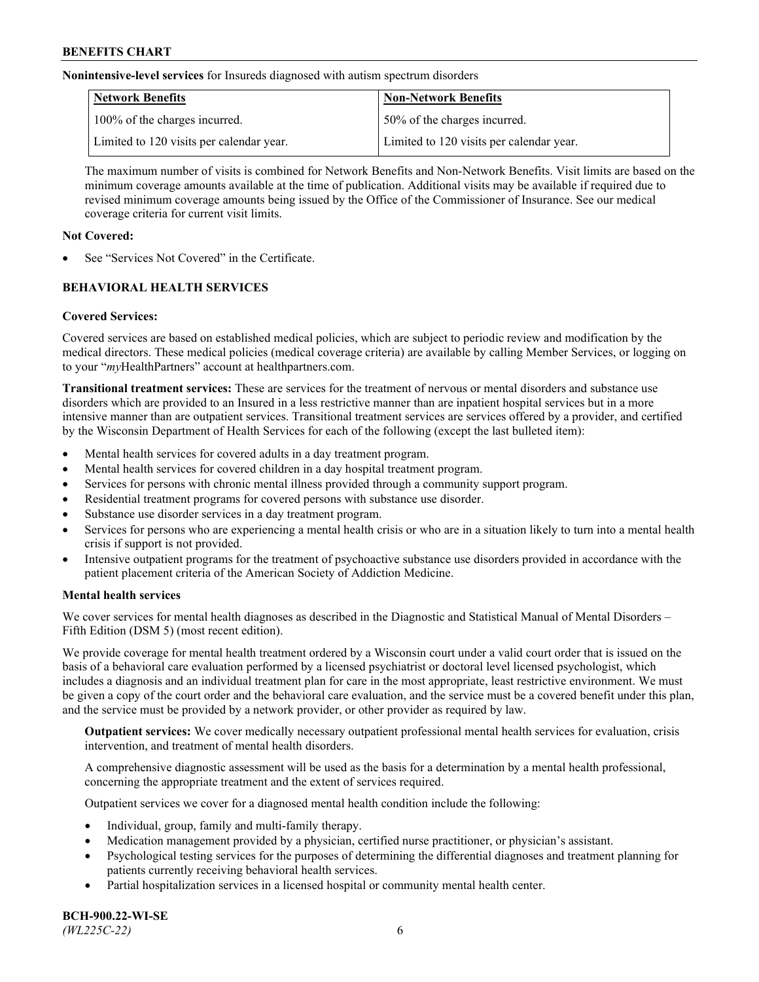**Nonintensive-level services** for Insureds diagnosed with autism spectrum disorders

| Network Benefits                         | <b>Non-Network Benefits</b>              |
|------------------------------------------|------------------------------------------|
| 100% of the charges incurred.            | 50% of the charges incurred.             |
| Limited to 120 visits per calendar year. | Limited to 120 visits per calendar year. |

The maximum number of visits is combined for Network Benefits and Non-Network Benefits. Visit limits are based on the minimum coverage amounts available at the time of publication. Additional visits may be available if required due to revised minimum coverage amounts being issued by the Office of the Commissioner of Insurance. See our medical coverage criteria for current visit limits.

## **Not Covered:**

See "Services Not Covered" in the Certificate.

# **BEHAVIORAL HEALTH SERVICES**

## **Covered Services:**

Covered services are based on established medical policies, which are subject to periodic review and modification by the medical directors. These medical policies (medical coverage criteria) are available by calling Member Services, or logging on to your "*my*HealthPartners" account at [healthpartners.com.](https://www.healthpartners.com/hp/index.html)

**Transitional treatment services:** These are services for the treatment of nervous or mental disorders and substance use disorders which are provided to an Insured in a less restrictive manner than are inpatient hospital services but in a more intensive manner than are outpatient services. Transitional treatment services are services offered by a provider, and certified by the Wisconsin Department of Health Services for each of the following (except the last bulleted item):

- Mental health services for covered adults in a day treatment program.
- Mental health services for covered children in a day hospital treatment program.
- Services for persons with chronic mental illness provided through a community support program.
- Residential treatment programs for covered persons with substance use disorder.
- Substance use disorder services in a day treatment program.
- Services for persons who are experiencing a mental health crisis or who are in a situation likely to turn into a mental health crisis if support is not provided.
- Intensive outpatient programs for the treatment of psychoactive substance use disorders provided in accordance with the patient placement criteria of the American Society of Addiction Medicine.

## **Mental health services**

We cover services for mental health diagnoses as described in the Diagnostic and Statistical Manual of Mental Disorders – Fifth Edition (DSM 5) (most recent edition).

We provide coverage for mental health treatment ordered by a Wisconsin court under a valid court order that is issued on the basis of a behavioral care evaluation performed by a licensed psychiatrist or doctoral level licensed psychologist, which includes a diagnosis and an individual treatment plan for care in the most appropriate, least restrictive environment. We must be given a copy of the court order and the behavioral care evaluation, and the service must be a covered benefit under this plan, and the service must be provided by a network provider, or other provider as required by law.

**Outpatient services:** We cover medically necessary outpatient professional mental health services for evaluation, crisis intervention, and treatment of mental health disorders.

A comprehensive diagnostic assessment will be used as the basis for a determination by a mental health professional, concerning the appropriate treatment and the extent of services required.

Outpatient services we cover for a diagnosed mental health condition include the following:

- Individual, group, family and multi-family therapy.
- Medication management provided by a physician, certified nurse practitioner, or physician's assistant.
- Psychological testing services for the purposes of determining the differential diagnoses and treatment planning for patients currently receiving behavioral health services.
- Partial hospitalization services in a licensed hospital or community mental health center.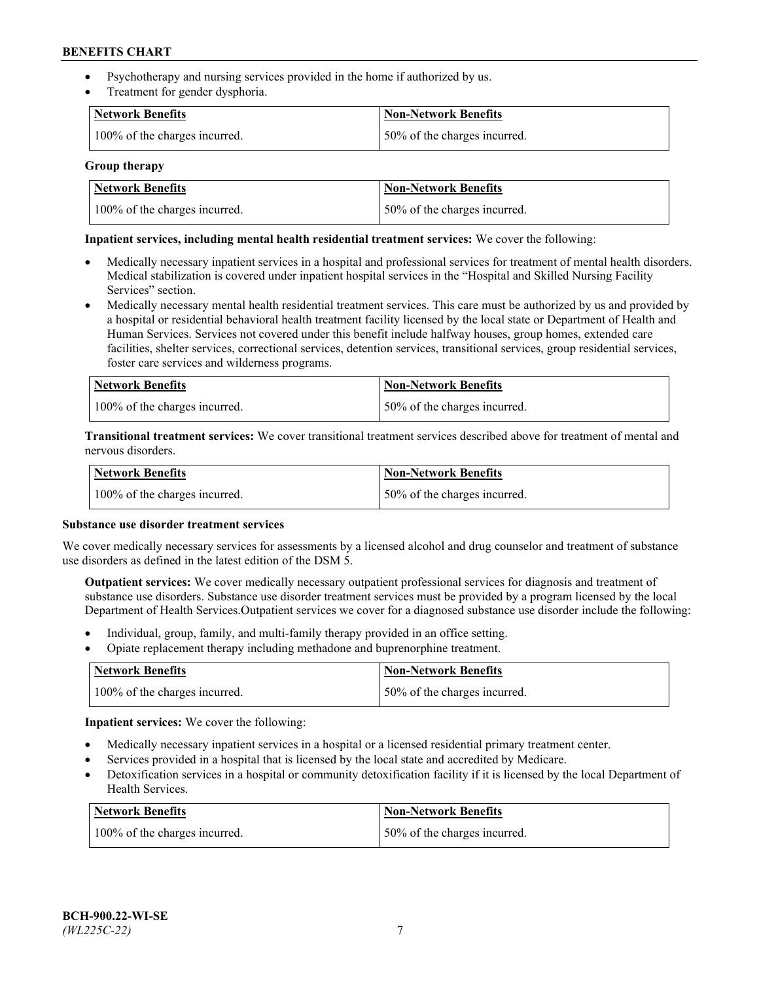- Psychotherapy and nursing services provided in the home if authorized by us.
- Treatment for gender dysphoria.

| <b>Network Benefits</b>       | <b>Non-Network Benefits</b>  |
|-------------------------------|------------------------------|
| 100% of the charges incurred. | 50% of the charges incurred. |

## **Group therapy**

| Network Benefits              | Non-Network Benefits          |
|-------------------------------|-------------------------------|
| 100% of the charges incurred. | 150% of the charges incurred. |

## **Inpatient services, including mental health residential treatment services:** We cover the following:

- Medically necessary inpatient services in a hospital and professional services for treatment of mental health disorders. Medical stabilization is covered under inpatient hospital services in the "Hospital and Skilled Nursing Facility Services" section.
- Medically necessary mental health residential treatment services. This care must be authorized by us and provided by a hospital or residential behavioral health treatment facility licensed by the local state or Department of Health and Human Services. Services not covered under this benefit include halfway houses, group homes, extended care facilities, shelter services, correctional services, detention services, transitional services, group residential services, foster care services and wilderness programs.

| <b>Network Benefits</b>       | Non-Network Benefits         |
|-------------------------------|------------------------------|
| 100% of the charges incurred. | 50% of the charges incurred. |

**Transitional treatment services:** We cover transitional treatment services described above for treatment of mental and nervous disorders.

| <b>Network Benefits</b>       | <b>Non-Network Benefits</b>  |
|-------------------------------|------------------------------|
| 100% of the charges incurred. | 50% of the charges incurred. |

#### **Substance use disorder treatment services**

We cover medically necessary services for assessments by a licensed alcohol and drug counselor and treatment of substance use disorders as defined in the latest edition of the DSM 5.

**Outpatient services:** We cover medically necessary outpatient professional services for diagnosis and treatment of substance use disorders. Substance use disorder treatment services must be provided by a program licensed by the local Department of Health Services.Outpatient services we cover for a diagnosed substance use disorder include the following:

- Individual, group, family, and multi-family therapy provided in an office setting.
- Opiate replacement therapy including methadone and buprenorphine treatment.

| Network Benefits              | Non-Network Benefits         |
|-------------------------------|------------------------------|
| 100% of the charges incurred. | 50% of the charges incurred. |

**Inpatient services:** We cover the following:

- Medically necessary inpatient services in a hospital or a licensed residential primary treatment center.
- Services provided in a hospital that is licensed by the local state and accredited by Medicare.
- Detoxification services in a hospital or community detoxification facility if it is licensed by the local Department of Health Services.

| Network Benefits              | <b>Non-Network Benefits</b>  |
|-------------------------------|------------------------------|
| 100% of the charges incurred. | 50% of the charges incurred. |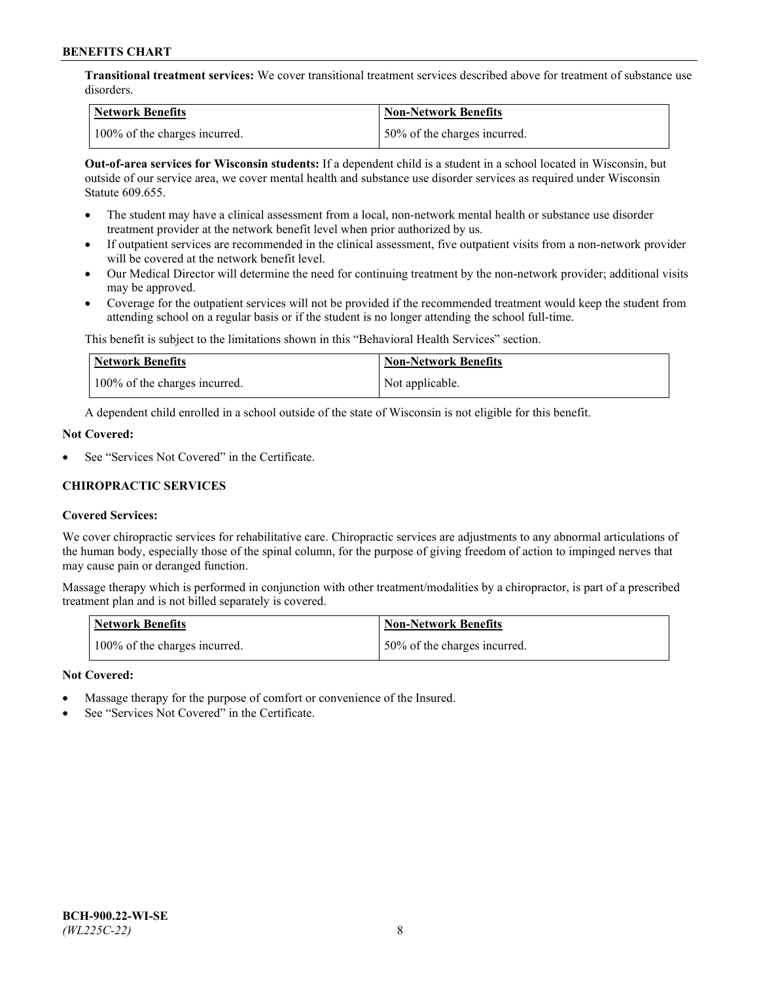**Transitional treatment services:** We cover transitional treatment services described above for treatment of substance use disorders.

| Network Benefits              | Non-Network Benefits          |
|-------------------------------|-------------------------------|
| 100% of the charges incurred. | 150% of the charges incurred. |

**Out-of-area services for Wisconsin students:** If a dependent child is a student in a school located in Wisconsin, but outside of our service area, we cover mental health and substance use disorder services as required under Wisconsin Statute 609.655.

- The student may have a clinical assessment from a local, non-network mental health or substance use disorder treatment provider at the network benefit level when prior authorized by us.
- If outpatient services are recommended in the clinical assessment, five outpatient visits from a non-network provider will be covered at the network benefit level.
- Our Medical Director will determine the need for continuing treatment by the non-network provider; additional visits may be approved.
- Coverage for the outpatient services will not be provided if the recommended treatment would keep the student from attending school on a regular basis or if the student is no longer attending the school full-time.

This benefit is subject to the limitations shown in this "Behavioral Health Services" section.

| <b>Network Benefits</b>       | <b>Non-Network Benefits</b> |
|-------------------------------|-----------------------------|
| 100% of the charges incurred. | Not applicable.             |

A dependent child enrolled in a school outside of the state of Wisconsin is not eligible for this benefit.

## **Not Covered:**

See "Services Not Covered" in the Certificate.

## **CHIROPRACTIC SERVICES**

## **Covered Services:**

We cover chiropractic services for rehabilitative care. Chiropractic services are adjustments to any abnormal articulations of the human body, especially those of the spinal column, for the purpose of giving freedom of action to impinged nerves that may cause pain or deranged function.

Massage therapy which is performed in conjunction with other treatment/modalities by a chiropractor, is part of a prescribed treatment plan and is not billed separately is covered.

| <b>Network Benefits</b>       | <b>Non-Network Benefits</b>  |
|-------------------------------|------------------------------|
| 100% of the charges incurred. | 50% of the charges incurred. |

#### **Not Covered:**

- Massage therapy for the purpose of comfort or convenience of the Insured.
- See "Services Not Covered" in the Certificate.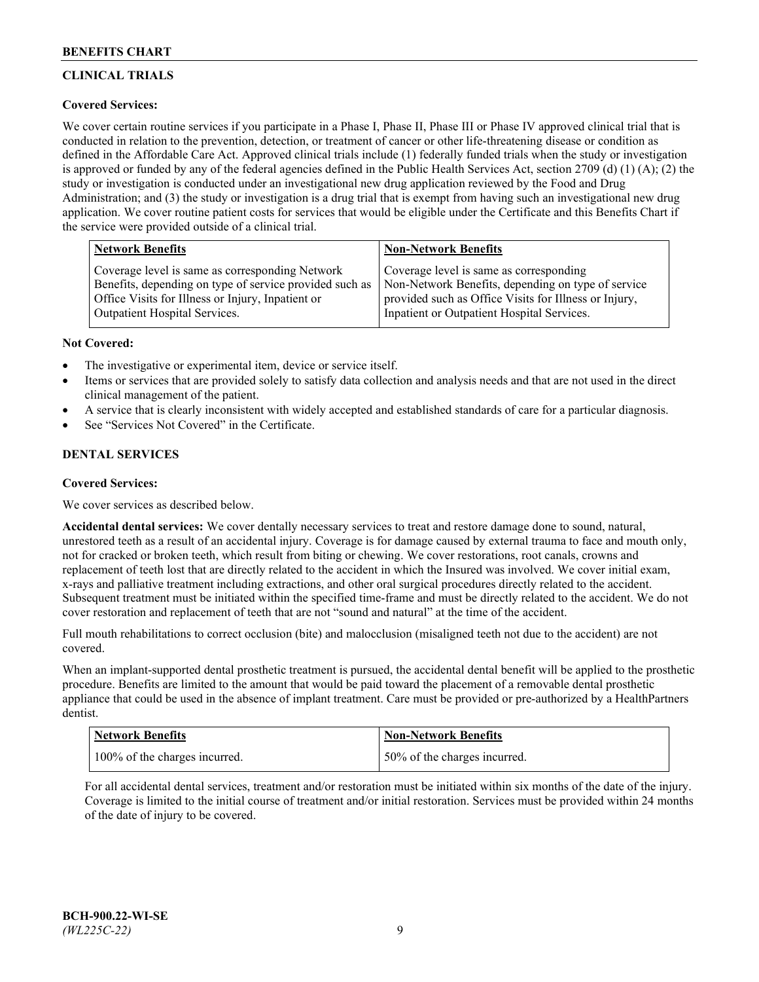# **CLINICAL TRIALS**

## **Covered Services:**

We cover certain routine services if you participate in a Phase I, Phase II, Phase III or Phase IV approved clinical trial that is conducted in relation to the prevention, detection, or treatment of cancer or other life-threatening disease or condition as defined in the Affordable Care Act. Approved clinical trials include (1) federally funded trials when the study or investigation is approved or funded by any of the federal agencies defined in the Public Health Services Act, section 2709 (d) (1) (A); (2) the study or investigation is conducted under an investigational new drug application reviewed by the Food and Drug Administration; and (3) the study or investigation is a drug trial that is exempt from having such an investigational new drug application. We cover routine patient costs for services that would be eligible under the Certificate and this Benefits Chart if the service were provided outside of a clinical trial.

| <b>Non-Network Benefits</b>                                                                                                                                                                          |
|------------------------------------------------------------------------------------------------------------------------------------------------------------------------------------------------------|
| Coverage level is same as corresponding<br>Non-Network Benefits, depending on type of service<br>provided such as Office Visits for Illness or Injury,<br>Inpatient or Outpatient Hospital Services. |
|                                                                                                                                                                                                      |

## **Not Covered:**

- The investigative or experimental item, device or service itself.
- Items or services that are provided solely to satisfy data collection and analysis needs and that are not used in the direct clinical management of the patient.
- A service that is clearly inconsistent with widely accepted and established standards of care for a particular diagnosis.
- See "Services Not Covered" in the Certificate.

# **DENTAL SERVICES**

## **Covered Services:**

We cover services as described below.

**Accidental dental services:** We cover dentally necessary services to treat and restore damage done to sound, natural, unrestored teeth as a result of an accidental injury. Coverage is for damage caused by external trauma to face and mouth only, not for cracked or broken teeth, which result from biting or chewing. We cover restorations, root canals, crowns and replacement of teeth lost that are directly related to the accident in which the Insured was involved. We cover initial exam, x-rays and palliative treatment including extractions, and other oral surgical procedures directly related to the accident. Subsequent treatment must be initiated within the specified time-frame and must be directly related to the accident. We do not cover restoration and replacement of teeth that are not "sound and natural" at the time of the accident.

Full mouth rehabilitations to correct occlusion (bite) and malocclusion (misaligned teeth not due to the accident) are not covered.

When an implant-supported dental prosthetic treatment is pursued, the accidental dental benefit will be applied to the prosthetic procedure. Benefits are limited to the amount that would be paid toward the placement of a removable dental prosthetic appliance that could be used in the absence of implant treatment. Care must be provided or pre-authorized by a HealthPartners dentist.

| <b>Network Benefits</b>       | <b>Non-Network Benefits</b>  |
|-------------------------------|------------------------------|
| 100% of the charges incurred. | 50% of the charges incurred. |

For all accidental dental services, treatment and/or restoration must be initiated within six months of the date of the injury. Coverage is limited to the initial course of treatment and/or initial restoration. Services must be provided within 24 months of the date of injury to be covered.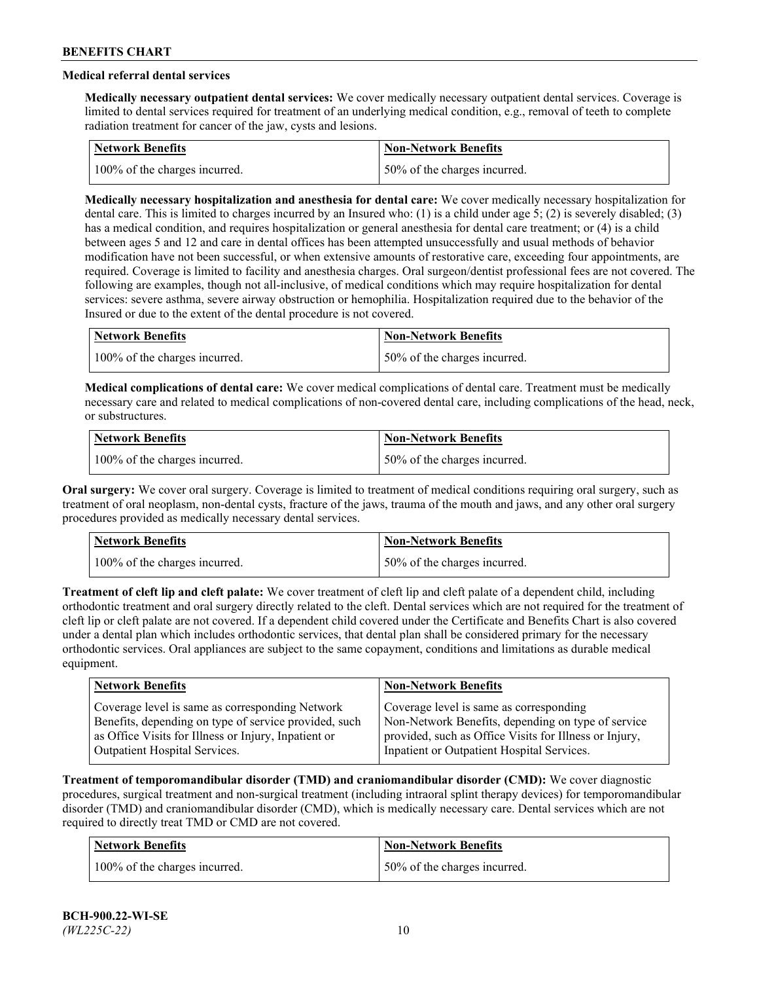# **Medical referral dental services**

**Medically necessary outpatient dental services:** We cover medically necessary outpatient dental services. Coverage is limited to dental services required for treatment of an underlying medical condition, e.g., removal of teeth to complete radiation treatment for cancer of the jaw, cysts and lesions.

| Network Benefits              | <b>Non-Network Benefits</b>  |
|-------------------------------|------------------------------|
| 100% of the charges incurred. | 50% of the charges incurred. |

**Medically necessary hospitalization and anesthesia for dental care:** We cover medically necessary hospitalization for dental care. This is limited to charges incurred by an Insured who: (1) is a child under age 5; (2) is severely disabled; (3) has a medical condition, and requires hospitalization or general anesthesia for dental care treatment; or (4) is a child between ages 5 and 12 and care in dental offices has been attempted unsuccessfully and usual methods of behavior modification have not been successful, or when extensive amounts of restorative care, exceeding four appointments, are required. Coverage is limited to facility and anesthesia charges. Oral surgeon/dentist professional fees are not covered. The following are examples, though not all-inclusive, of medical conditions which may require hospitalization for dental services: severe asthma, severe airway obstruction or hemophilia. Hospitalization required due to the behavior of the Insured or due to the extent of the dental procedure is not covered.

| Network Benefits              | <b>Non-Network Benefits</b>  |
|-------------------------------|------------------------------|
| 100% of the charges incurred. | 50% of the charges incurred. |

**Medical complications of dental care:** We cover medical complications of dental care. Treatment must be medically necessary care and related to medical complications of non-covered dental care, including complications of the head, neck, or substructures.

| Network Benefits              | Non-Network Benefits         |
|-------------------------------|------------------------------|
| 100% of the charges incurred. | 50% of the charges incurred. |

**Oral surgery:** We cover oral surgery. Coverage is limited to treatment of medical conditions requiring oral surgery, such as treatment of oral neoplasm, non-dental cysts, fracture of the jaws, trauma of the mouth and jaws, and any other oral surgery procedures provided as medically necessary dental services.

| <b>Network Benefits</b>       | <b>Non-Network Benefits</b>   |
|-------------------------------|-------------------------------|
| 100% of the charges incurred. | 150% of the charges incurred. |

**Treatment of cleft lip and cleft palate:** We cover treatment of cleft lip and cleft palate of a dependent child, including orthodontic treatment and oral surgery directly related to the cleft. Dental services which are not required for the treatment of cleft lip or cleft palate are not covered. If a dependent child covered under the Certificate and Benefits Chart is also covered under a dental plan which includes orthodontic services, that dental plan shall be considered primary for the necessary orthodontic services. Oral appliances are subject to the same copayment, conditions and limitations as durable medical equipment.

| <b>Network Benefits</b>                               | <b>Non-Network Benefits</b>                            |
|-------------------------------------------------------|--------------------------------------------------------|
| Coverage level is same as corresponding Network       | Coverage level is same as corresponding                |
| Benefits, depending on type of service provided, such | Non-Network Benefits, depending on type of service     |
| as Office Visits for Illness or Injury, Inpatient or  | provided, such as Office Visits for Illness or Injury, |
| Outpatient Hospital Services.                         | Inpatient or Outpatient Hospital Services.             |

**Treatment of temporomandibular disorder (TMD) and craniomandibular disorder (CMD):** We cover diagnostic procedures, surgical treatment and non-surgical treatment (including intraoral splint therapy devices) for temporomandibular disorder (TMD) and craniomandibular disorder (CMD), which is medically necessary care. Dental services which are not required to directly treat TMD or CMD are not covered.

| <b>Network Benefits</b>       | <b>Non-Network Benefits</b>   |
|-------------------------------|-------------------------------|
| 100% of the charges incurred. | 150% of the charges incurred. |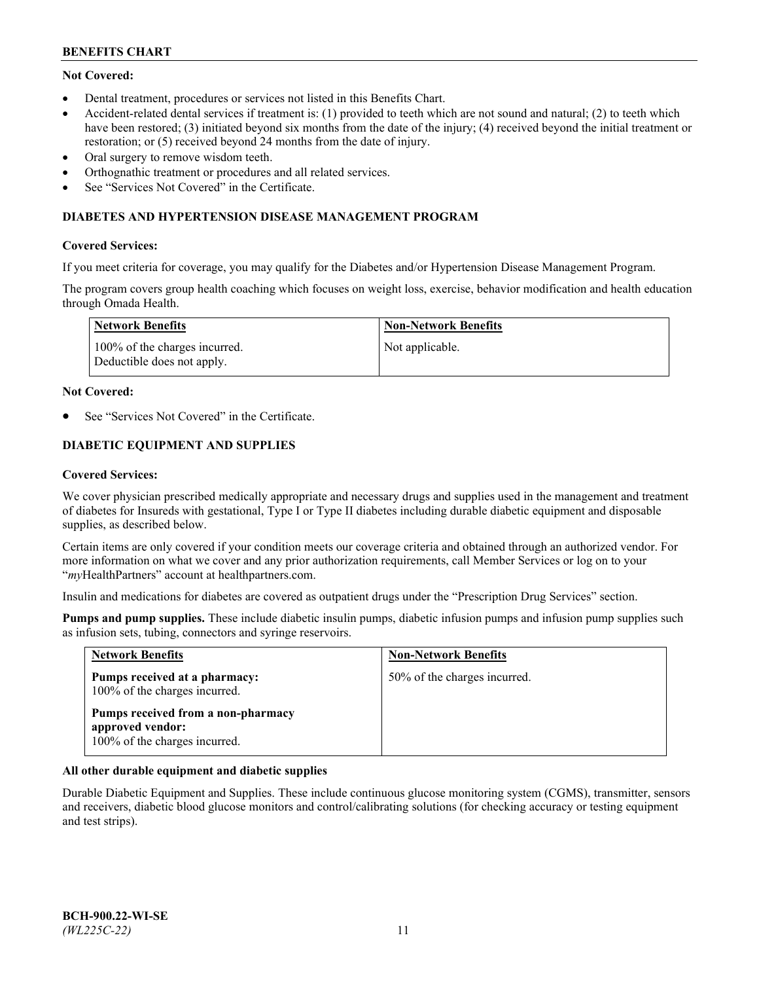# **Not Covered:**

- Dental treatment, procedures or services not listed in this Benefits Chart.
- Accident-related dental services if treatment is: (1) provided to teeth which are not sound and natural; (2) to teeth which have been restored; (3) initiated beyond six months from the date of the injury; (4) received beyond the initial treatment or restoration; or (5) received beyond 24 months from the date of injury.
- Oral surgery to remove wisdom teeth.
- Orthognathic treatment or procedures and all related services.
- See "Services Not Covered" in the Certificate.

## **DIABETES AND HYPERTENSION DISEASE MANAGEMENT PROGRAM**

## **Covered Services:**

If you meet criteria for coverage, you may qualify for the Diabetes and/or Hypertension Disease Management Program.

The program covers group health coaching which focuses on weight loss, exercise, behavior modification and health education through Omada Health.

| Network Benefits                                            | <b>Non-Network Benefits</b> |
|-------------------------------------------------------------|-----------------------------|
| 100% of the charges incurred.<br>Deductible does not apply. | Not applicable.             |

#### **Not Covered:**

See "Services Not Covered" in the Certificate.

# **DIABETIC EQUIPMENT AND SUPPLIES**

## **Covered Services:**

We cover physician prescribed medically appropriate and necessary drugs and supplies used in the management and treatment of diabetes for Insureds with gestational, Type I or Type II diabetes including durable diabetic equipment and disposable supplies, as described below.

Certain items are only covered if your condition meets our coverage criteria and obtained through an authorized vendor. For more information on what we cover and any prior authorization requirements, call Member Services or log on to your "*my*HealthPartners" account at [healthpartners.com.](http://www.healthpartners.com/)

Insulin and medications for diabetes are covered as outpatient drugs under the "Prescription Drug Services" section.

**Pumps and pump supplies.** These include diabetic insulin pumps, diabetic infusion pumps and infusion pump supplies such as infusion sets, tubing, connectors and syringe reservoirs.

| <b>Network Benefits</b>                                                                 | <b>Non-Network Benefits</b>  |
|-----------------------------------------------------------------------------------------|------------------------------|
| Pumps received at a pharmacy:<br>100% of the charges incurred.                          | 50% of the charges incurred. |
| Pumps received from a non-pharmacy<br>approved vendor:<br>100% of the charges incurred. |                              |

## **All other durable equipment and diabetic supplies**

Durable Diabetic Equipment and Supplies. These include continuous glucose monitoring system (CGMS), transmitter, sensors and receivers, diabetic blood glucose monitors and control/calibrating solutions (for checking accuracy or testing equipment and test strips).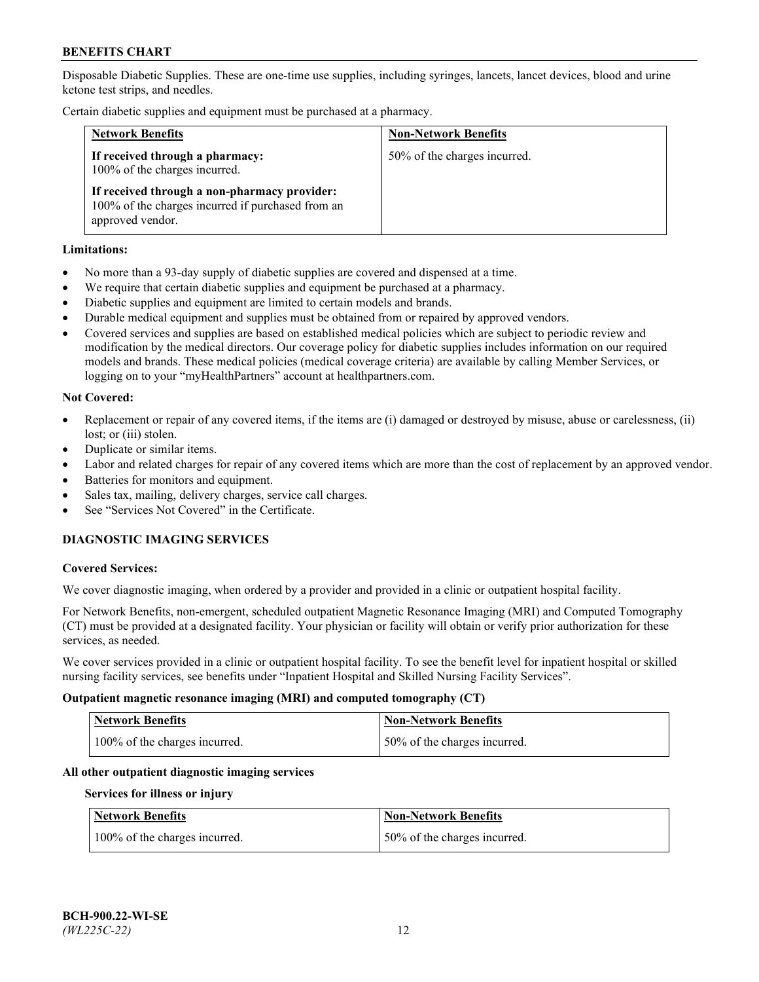Disposable Diabetic Supplies. These are one-time use supplies, including syringes, lancets, lancet devices, blood and urine ketone test strips, and needles.

Certain diabetic supplies and equipment must be purchased at a pharmacy.

| <b>Network Benefits</b>                                                                                               | <b>Non-Network Benefits</b>  |
|-----------------------------------------------------------------------------------------------------------------------|------------------------------|
| If received through a pharmacy:<br>100% of the charges incurred.                                                      | 50% of the charges incurred. |
| If received through a non-pharmacy provider:<br>100% of the charges incurred if purchased from an<br>approved vendor. |                              |

## **Limitations:**

- No more than a 93-day supply of diabetic supplies are covered and dispensed at a time.
- We require that certain diabetic supplies and equipment be purchased at a pharmacy.
- Diabetic supplies and equipment are limited to certain models and brands.
- Durable medical equipment and supplies must be obtained from or repaired by approved vendors.
- Covered services and supplies are based on established medical policies which are subject to periodic review and modification by the medical directors. Our coverage policy for diabetic supplies includes information on our required models and brands. These medical policies (medical coverage criteria) are available by calling Member Services, or logging on to your "myHealthPartners" account at [healthpartners.com.](http://www.healthpartners.com/)

## **Not Covered:**

- Replacement or repair of any covered items, if the items are (i) damaged or destroyed by misuse, abuse or carelessness, (ii) lost; or (iii) stolen.
- Duplicate or similar items.
- Labor and related charges for repair of any covered items which are more than the cost of replacement by an approved vendor.
- Batteries for monitors and equipment.
- Sales tax, mailing, delivery charges, service call charges.
- See "Services Not Covered" in the Certificate.

# **DIAGNOSTIC IMAGING SERVICES**

#### **Covered Services:**

We cover diagnostic imaging, when ordered by a provider and provided in a clinic or outpatient hospital facility.

For Network Benefits, non-emergent, scheduled outpatient Magnetic Resonance Imaging (MRI) and Computed Tomography (CT) must be provided at a designated facility. Your physician or facility will obtain or verify prior authorization for these services, as needed.

We cover services provided in a clinic or outpatient hospital facility. To see the benefit level for inpatient hospital or skilled nursing facility services, see benefits under "Inpatient Hospital and Skilled Nursing Facility Services".

#### **Outpatient magnetic resonance imaging (MRI) and computed tomography (CT)**

| <b>Network Benefits</b>       | <b>Non-Network Benefits</b>  |
|-------------------------------|------------------------------|
| 100% of the charges incurred. | 50% of the charges incurred. |

#### **All other outpatient diagnostic imaging services**

#### **Services for illness or injury**

| <b>Network Benefits</b>       | <b>Non-Network Benefits</b>  |
|-------------------------------|------------------------------|
| 100% of the charges incurred. | 50% of the charges incurred. |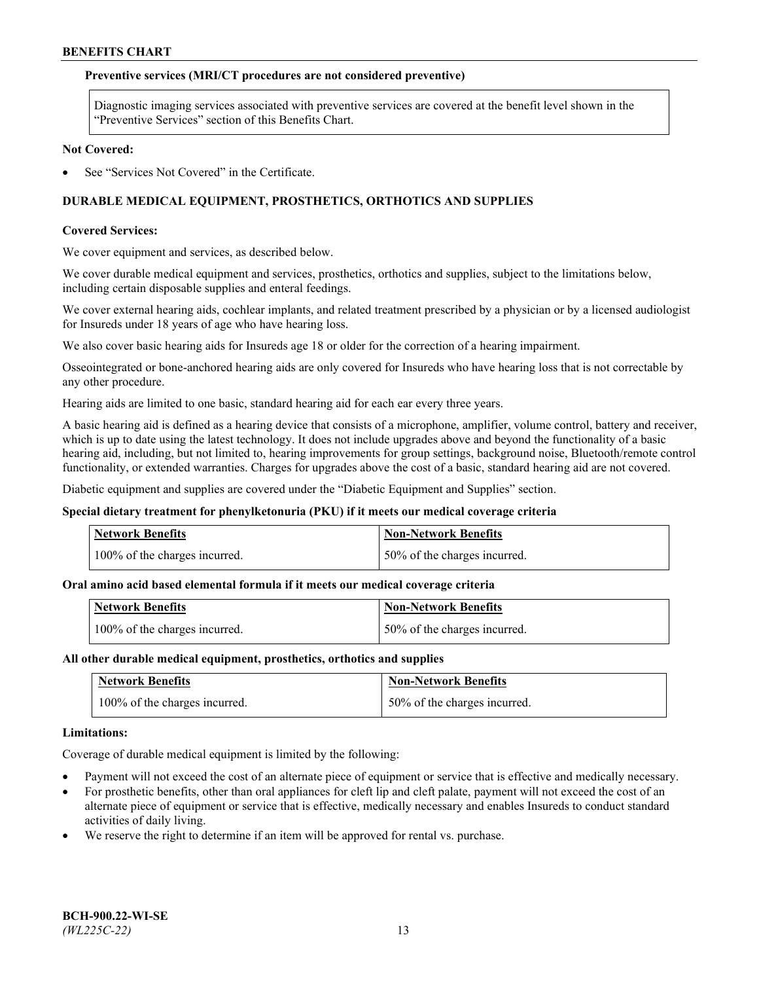## **Preventive services (MRI/CT procedures are not considered preventive)**

Diagnostic imaging services associated with preventive services are covered at the benefit level shown in the "Preventive Services" section of this Benefits Chart.

#### **Not Covered:**

See "Services Not Covered" in the Certificate.

# **DURABLE MEDICAL EQUIPMENT, PROSTHETICS, ORTHOTICS AND SUPPLIES**

## **Covered Services:**

We cover equipment and services, as described below.

We cover durable medical equipment and services, prosthetics, orthotics and supplies, subject to the limitations below, including certain disposable supplies and enteral feedings.

We cover external hearing aids, cochlear implants, and related treatment prescribed by a physician or by a licensed audiologist for Insureds under 18 years of age who have hearing loss.

We also cover basic hearing aids for Insureds age 18 or older for the correction of a hearing impairment.

Osseointegrated or bone-anchored hearing aids are only covered for Insureds who have hearing loss that is not correctable by any other procedure.

Hearing aids are limited to one basic, standard hearing aid for each ear every three years.

A basic hearing aid is defined as a hearing device that consists of a microphone, amplifier, volume control, battery and receiver, which is up to date using the latest technology. It does not include upgrades above and beyond the functionality of a basic hearing aid, including, but not limited to, hearing improvements for group settings, background noise, Bluetooth/remote control functionality, or extended warranties. Charges for upgrades above the cost of a basic, standard hearing aid are not covered.

Diabetic equipment and supplies are covered under the "Diabetic Equipment and Supplies" section.

#### **Special dietary treatment for phenylketonuria (PKU) if it meets our medical coverage criteria**

| <b>Network Benefits</b>       | <b>Non-Network Benefits</b>  |
|-------------------------------|------------------------------|
| 100% of the charges incurred. | 50% of the charges incurred. |

## **Oral amino acid based elemental formula if it meets our medical coverage criteria**

| <b>Network Benefits</b>       | Non-Network Benefits         |
|-------------------------------|------------------------------|
| 100% of the charges incurred. | 50% of the charges incurred. |

#### **All other durable medical equipment, prosthetics, orthotics and supplies**

| <b>Network Benefits</b>       | <b>Non-Network Benefits</b>  |
|-------------------------------|------------------------------|
| 100% of the charges incurred. | 50% of the charges incurred. |

#### **Limitations:**

Coverage of durable medical equipment is limited by the following:

- Payment will not exceed the cost of an alternate piece of equipment or service that is effective and medically necessary.
- For prosthetic benefits, other than oral appliances for cleft lip and cleft palate, payment will not exceed the cost of an alternate piece of equipment or service that is effective, medically necessary and enables Insureds to conduct standard activities of daily living.
- We reserve the right to determine if an item will be approved for rental vs. purchase.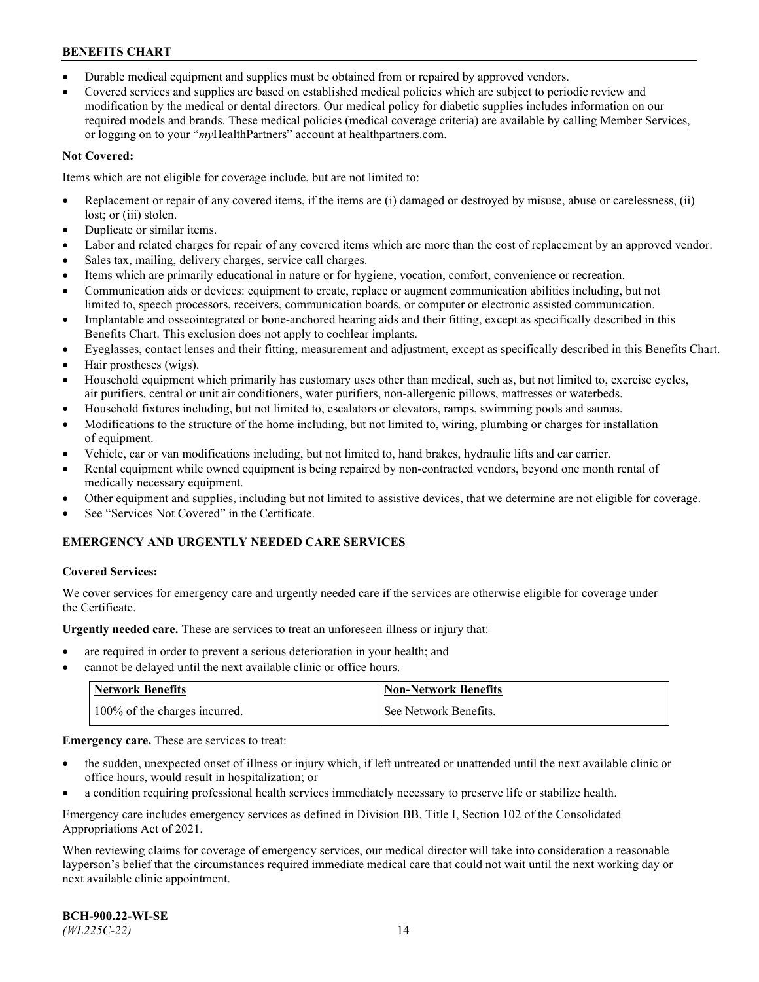- Durable medical equipment and supplies must be obtained from or repaired by approved vendors.
- Covered services and supplies are based on established medical policies which are subject to periodic review and modification by the medical or dental directors. Our medical policy for diabetic supplies includes information on our required models and brands. These medical policies (medical coverage criteria) are available by calling Member Services, or logging on to your "*my*HealthPartners" account a[t healthpartners.com.](http://www.healthpartners.com/)

# **Not Covered:**

Items which are not eligible for coverage include, but are not limited to:

- Replacement or repair of any covered items, if the items are (i) damaged or destroyed by misuse, abuse or carelessness, (ii) lost; or (iii) stolen.
- Duplicate or similar items.
- Labor and related charges for repair of any covered items which are more than the cost of replacement by an approved vendor.
- Sales tax, mailing, delivery charges, service call charges.
- Items which are primarily educational in nature or for hygiene, vocation, comfort, convenience or recreation.
- Communication aids or devices: equipment to create, replace or augment communication abilities including, but not limited to, speech processors, receivers, communication boards, or computer or electronic assisted communication.
- Implantable and osseointegrated or bone-anchored hearing aids and their fitting, except as specifically described in this Benefits Chart. This exclusion does not apply to cochlear implants.
- Eyeglasses, contact lenses and their fitting, measurement and adjustment, except as specifically described in this Benefits Chart.
- Hair prostheses (wigs).
- Household equipment which primarily has customary uses other than medical, such as, but not limited to, exercise cycles, air purifiers, central or unit air conditioners, water purifiers, non-allergenic pillows, mattresses or waterbeds.
- Household fixtures including, but not limited to, escalators or elevators, ramps, swimming pools and saunas.
- Modifications to the structure of the home including, but not limited to, wiring, plumbing or charges for installation of equipment.
- Vehicle, car or van modifications including, but not limited to, hand brakes, hydraulic lifts and car carrier.
- Rental equipment while owned equipment is being repaired by non-contracted vendors, beyond one month rental of medically necessary equipment.
- Other equipment and supplies, including but not limited to assistive devices, that we determine are not eligible for coverage.
- See "Services Not Covered" in the Certificate.

# **EMERGENCY AND URGENTLY NEEDED CARE SERVICES**

## **Covered Services:**

We cover services for emergency care and urgently needed care if the services are otherwise eligible for coverage under the Certificate.

**Urgently needed care.** These are services to treat an unforeseen illness or injury that:

- are required in order to prevent a serious deterioration in your health; and
- cannot be delayed until the next available clinic or office hours.

| <b>Network Benefits</b>       | Non-Network Benefits  |
|-------------------------------|-----------------------|
| 100% of the charges incurred. | See Network Benefits. |

**Emergency care.** These are services to treat:

- the sudden, unexpected onset of illness or injury which, if left untreated or unattended until the next available clinic or office hours, would result in hospitalization; or
- a condition requiring professional health services immediately necessary to preserve life or stabilize health.

Emergency care includes emergency services as defined in Division BB, Title I, Section 102 of the Consolidated Appropriations Act of 2021.

When reviewing claims for coverage of emergency services, our medical director will take into consideration a reasonable layperson's belief that the circumstances required immediate medical care that could not wait until the next working day or next available clinic appointment.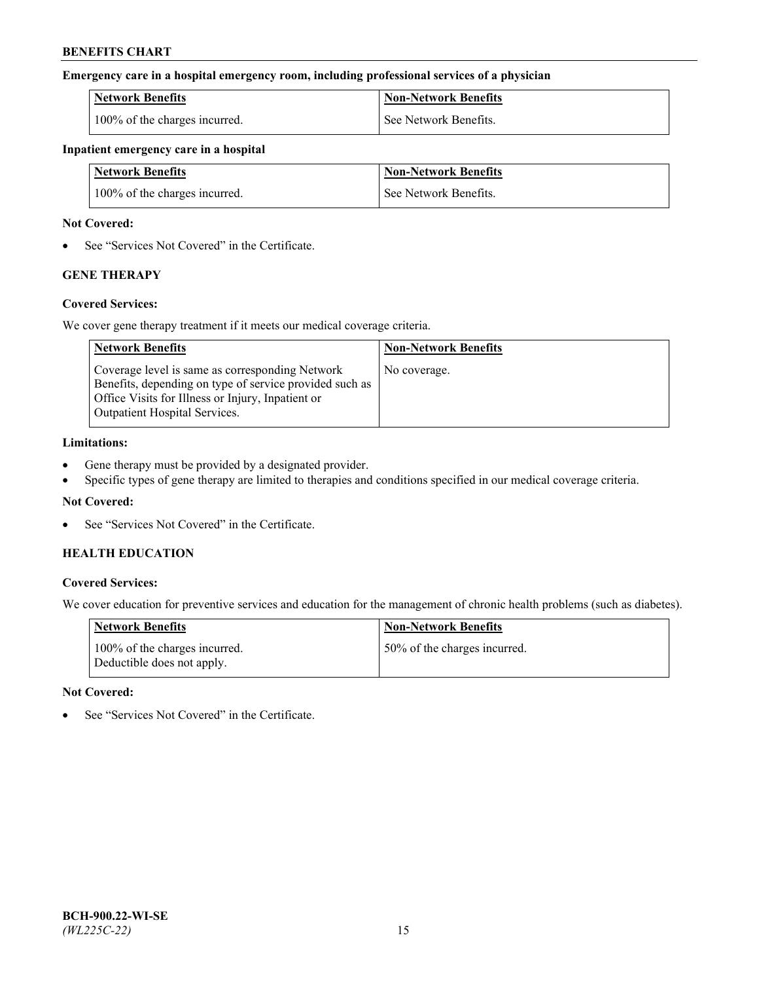## **Emergency care in a hospital emergency room, including professional services of a physician**

| <b>Network Benefits</b>       | <b>Non-Network Benefits</b> |
|-------------------------------|-----------------------------|
| 100% of the charges incurred. | See Network Benefits.       |

### **Inpatient emergency care in a hospital**

| <b>Network Benefits</b>       | <b>Non-Network Benefits</b> |
|-------------------------------|-----------------------------|
| 100% of the charges incurred. | See Network Benefits.       |

## **Not Covered:**

• See "Services Not Covered" in the Certificate.

# **GENE THERAPY**

## **Covered Services:**

We cover gene therapy treatment if it meets our medical coverage criteria.

| <b>Network Benefits</b>                                                                                                                                                                                 | <b>Non-Network Benefits</b> |
|---------------------------------------------------------------------------------------------------------------------------------------------------------------------------------------------------------|-----------------------------|
| Coverage level is same as corresponding Network<br>Benefits, depending on type of service provided such as<br>Office Visits for Illness or Injury, Inpatient or<br><b>Outpatient Hospital Services.</b> | No coverage.                |

## **Limitations:**

- Gene therapy must be provided by a designated provider.
- Specific types of gene therapy are limited to therapies and conditions specified in our medical coverage criteria.

## **Not Covered:**

See "Services Not Covered" in the Certificate.

# **HEALTH EDUCATION**

## **Covered Services:**

We cover education for preventive services and education for the management of chronic health problems (such as diabetes).

| <b>Network Benefits</b>                                     | <b>Non-Network Benefits</b>  |
|-------------------------------------------------------------|------------------------------|
| 100% of the charges incurred.<br>Deductible does not apply. | 50% of the charges incurred. |

#### **Not Covered:**

See "Services Not Covered" in the Certificate.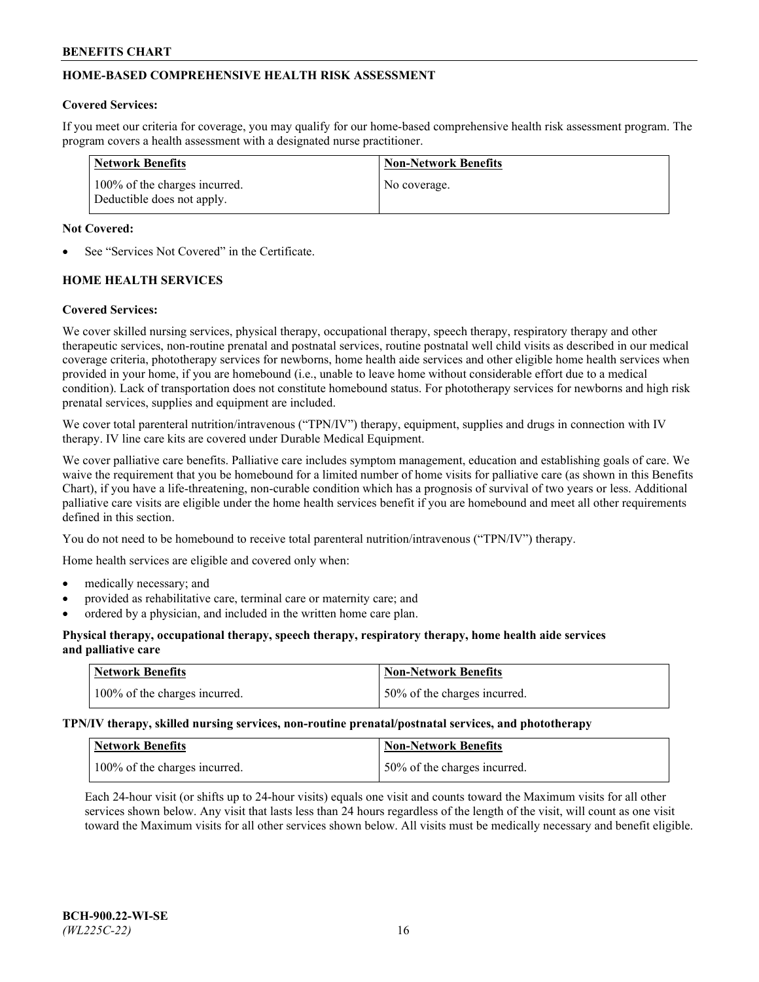# **HOME-BASED COMPREHENSIVE HEALTH RISK ASSESSMENT**

### **Covered Services:**

If you meet our criteria for coverage, you may qualify for our home-based comprehensive health risk assessment program. The program covers a health assessment with a designated nurse practitioner.

| Network Benefits                                            | <b>Non-Network Benefits</b> |
|-------------------------------------------------------------|-----------------------------|
| 100% of the charges incurred.<br>Deductible does not apply. | No coverage.                |

## **Not Covered:**

See "Services Not Covered" in the Certificate.

# **HOME HEALTH SERVICES**

## **Covered Services:**

We cover skilled nursing services, physical therapy, occupational therapy, speech therapy, respiratory therapy and other therapeutic services, non-routine prenatal and postnatal services, routine postnatal well child visits as described in our medical coverage criteria, phototherapy services for newborns, home health aide services and other eligible home health services when provided in your home, if you are homebound (i.e., unable to leave home without considerable effort due to a medical condition). Lack of transportation does not constitute homebound status. For phototherapy services for newborns and high risk prenatal services, supplies and equipment are included.

We cover total parenteral nutrition/intravenous ("TPN/IV") therapy, equipment, supplies and drugs in connection with IV therapy. IV line care kits are covered under Durable Medical Equipment.

We cover palliative care benefits. Palliative care includes symptom management, education and establishing goals of care. We waive the requirement that you be homebound for a limited number of home visits for palliative care (as shown in this Benefits Chart), if you have a life-threatening, non-curable condition which has a prognosis of survival of two years or less. Additional palliative care visits are eligible under the home health services benefit if you are homebound and meet all other requirements defined in this section.

You do not need to be homebound to receive total parenteral nutrition/intravenous ("TPN/IV") therapy.

Home health services are eligible and covered only when:

- medically necessary; and
- provided as rehabilitative care, terminal care or maternity care; and
- ordered by a physician, and included in the written home care plan.

## **Physical therapy, occupational therapy, speech therapy, respiratory therapy, home health aide services and palliative care**

| <b>Network Benefits</b>       | <b>Non-Network Benefits</b>  |
|-------------------------------|------------------------------|
| 100% of the charges incurred. | 50% of the charges incurred. |

**TPN/IV therapy, skilled nursing services, non-routine prenatal/postnatal services, and phototherapy**

| <b>Network Benefits</b>       | <b>Non-Network Benefits</b>  |
|-------------------------------|------------------------------|
| 100% of the charges incurred. | 50% of the charges incurred. |

Each 24-hour visit (or shifts up to 24-hour visits) equals one visit and counts toward the Maximum visits for all other services shown below. Any visit that lasts less than 24 hours regardless of the length of the visit, will count as one visit toward the Maximum visits for all other services shown below. All visits must be medically necessary and benefit eligible.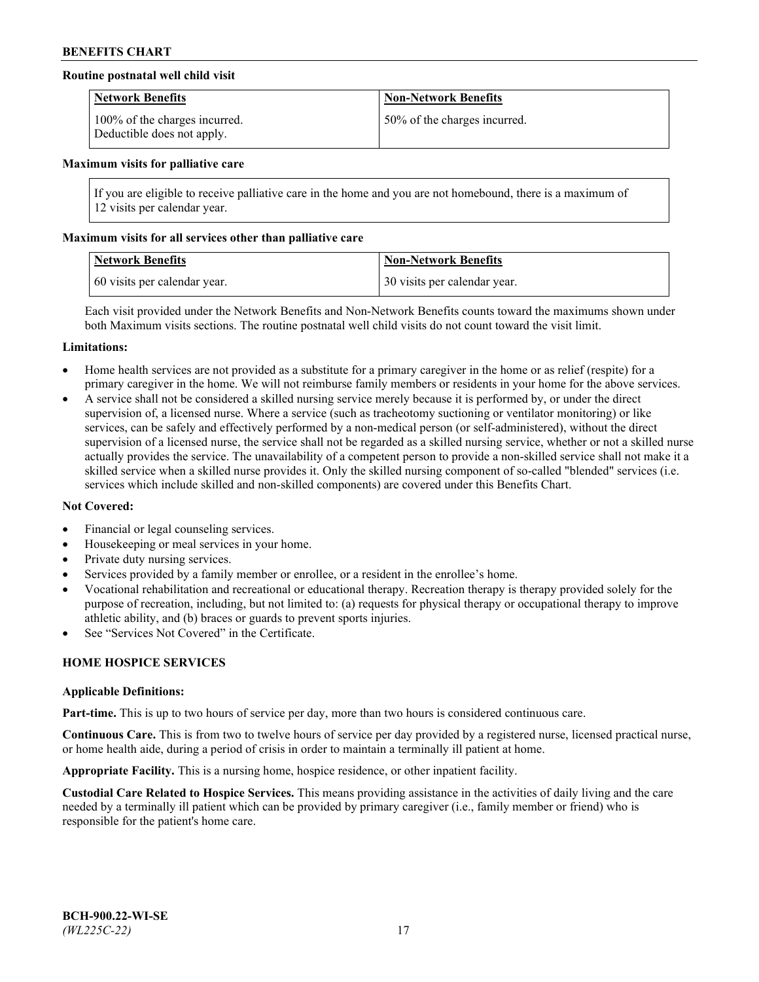## **Routine postnatal well child visit**

| <b>Network Benefits</b>                                     | <b>Non-Network Benefits</b>  |
|-------------------------------------------------------------|------------------------------|
| 100% of the charges incurred.<br>Deductible does not apply. | 50% of the charges incurred. |

#### **Maximum visits for palliative care**

If you are eligible to receive palliative care in the home and you are not homebound, there is a maximum of 12 visits per calendar year.

## **Maximum visits for all services other than palliative care**

| <b>Network Benefits</b>      | <b>Non-Network Benefits</b>  |
|------------------------------|------------------------------|
| 60 visits per calendar year. | 30 visits per calendar year. |

Each visit provided under the Network Benefits and Non-Network Benefits counts toward the maximums shown under both Maximum visits sections. The routine postnatal well child visits do not count toward the visit limit.

#### **Limitations:**

- Home health services are not provided as a substitute for a primary caregiver in the home or as relief (respite) for a primary caregiver in the home. We will not reimburse family members or residents in your home for the above services.
- A service shall not be considered a skilled nursing service merely because it is performed by, or under the direct supervision of, a licensed nurse. Where a service (such as tracheotomy suctioning or ventilator monitoring) or like services, can be safely and effectively performed by a non-medical person (or self-administered), without the direct supervision of a licensed nurse, the service shall not be regarded as a skilled nursing service, whether or not a skilled nurse actually provides the service. The unavailability of a competent person to provide a non-skilled service shall not make it a skilled service when a skilled nurse provides it. Only the skilled nursing component of so-called "blended" services (i.e. services which include skilled and non-skilled components) are covered under this Benefits Chart.

#### **Not Covered:**

- Financial or legal counseling services.
- Housekeeping or meal services in your home.
- Private duty nursing services.
- Services provided by a family member or enrollee, or a resident in the enrollee's home.
- Vocational rehabilitation and recreational or educational therapy. Recreation therapy is therapy provided solely for the purpose of recreation, including, but not limited to: (a) requests for physical therapy or occupational therapy to improve athletic ability, and (b) braces or guards to prevent sports injuries.
- See "Services Not Covered" in the Certificate.

# **HOME HOSPICE SERVICES**

#### **Applicable Definitions:**

**Part-time.** This is up to two hours of service per day, more than two hours is considered continuous care.

**Continuous Care.** This is from two to twelve hours of service per day provided by a registered nurse, licensed practical nurse, or home health aide, during a period of crisis in order to maintain a terminally ill patient at home.

**Appropriate Facility.** This is a nursing home, hospice residence, or other inpatient facility.

**Custodial Care Related to Hospice Services.** This means providing assistance in the activities of daily living and the care needed by a terminally ill patient which can be provided by primary caregiver (i.e., family member or friend) who is responsible for the patient's home care.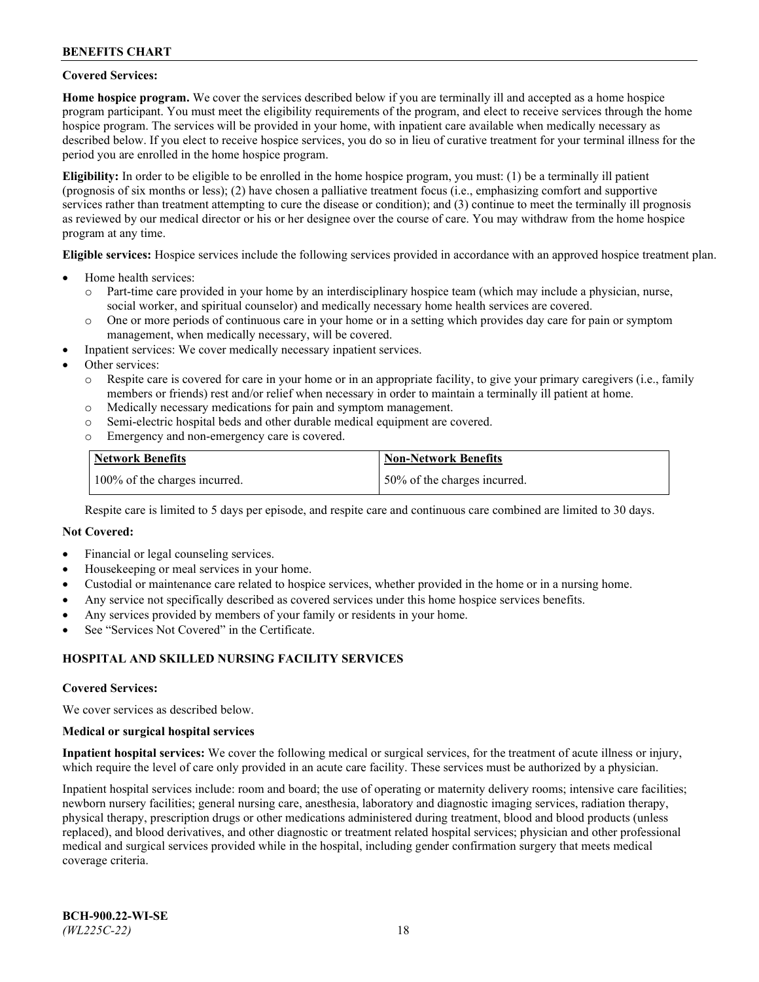## **Covered Services:**

**Home hospice program.** We cover the services described below if you are terminally ill and accepted as a home hospice program participant. You must meet the eligibility requirements of the program, and elect to receive services through the home hospice program. The services will be provided in your home, with inpatient care available when medically necessary as described below. If you elect to receive hospice services, you do so in lieu of curative treatment for your terminal illness for the period you are enrolled in the home hospice program.

**Eligibility:** In order to be eligible to be enrolled in the home hospice program, you must: (1) be a terminally ill patient (prognosis of six months or less); (2) have chosen a palliative treatment focus (i.e., emphasizing comfort and supportive services rather than treatment attempting to cure the disease or condition); and (3) continue to meet the terminally ill prognosis as reviewed by our medical director or his or her designee over the course of care. You may withdraw from the home hospice program at any time.

**Eligible services:** Hospice services include the following services provided in accordance with an approved hospice treatment plan.

- Home health services:
	- o Part-time care provided in your home by an interdisciplinary hospice team (which may include a physician, nurse, social worker, and spiritual counselor) and medically necessary home health services are covered.
	- o One or more periods of continuous care in your home or in a setting which provides day care for pain or symptom management, when medically necessary, will be covered.
- Inpatient services: We cover medically necessary inpatient services.
- Other services:
	- o Respite care is covered for care in your home or in an appropriate facility, to give your primary caregivers (i.e., family members or friends) rest and/or relief when necessary in order to maintain a terminally ill patient at home.
	- o Medically necessary medications for pain and symptom management.
	- o Semi-electric hospital beds and other durable medical equipment are covered.
	- Emergency and non-emergency care is covered.

| Network Benefits              | <b>Non-Network Benefits</b>  |
|-------------------------------|------------------------------|
| 100% of the charges incurred. | 50% of the charges incurred. |

Respite care is limited to 5 days per episode, and respite care and continuous care combined are limited to 30 days.

## **Not Covered:**

- Financial or legal counseling services.
- Housekeeping or meal services in your home.
- Custodial or maintenance care related to hospice services, whether provided in the home or in a nursing home.
- Any service not specifically described as covered services under this home hospice services benefits.
- Any services provided by members of your family or residents in your home.
- See "Services Not Covered" in the Certificate.

## **HOSPITAL AND SKILLED NURSING FACILITY SERVICES**

#### **Covered Services:**

We cover services as described below.

#### **Medical or surgical hospital services**

**Inpatient hospital services:** We cover the following medical or surgical services, for the treatment of acute illness or injury, which require the level of care only provided in an acute care facility. These services must be authorized by a physician.

Inpatient hospital services include: room and board; the use of operating or maternity delivery rooms; intensive care facilities; newborn nursery facilities; general nursing care, anesthesia, laboratory and diagnostic imaging services, radiation therapy, physical therapy, prescription drugs or other medications administered during treatment, blood and blood products (unless replaced), and blood derivatives, and other diagnostic or treatment related hospital services; physician and other professional medical and surgical services provided while in the hospital, including gender confirmation surgery that meets medical coverage criteria.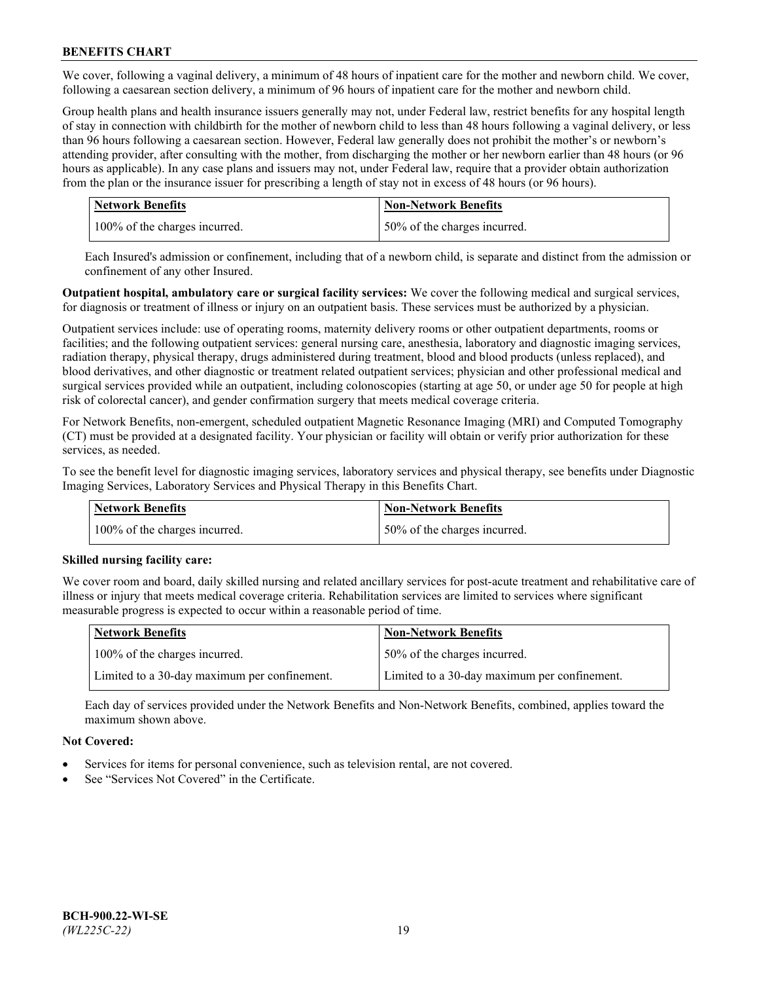We cover, following a vaginal delivery, a minimum of 48 hours of inpatient care for the mother and newborn child. We cover, following a caesarean section delivery, a minimum of 96 hours of inpatient care for the mother and newborn child.

Group health plans and health insurance issuers generally may not, under Federal law, restrict benefits for any hospital length of stay in connection with childbirth for the mother of newborn child to less than 48 hours following a vaginal delivery, or less than 96 hours following a caesarean section. However, Federal law generally does not prohibit the mother's or newborn's attending provider, after consulting with the mother, from discharging the mother or her newborn earlier than 48 hours (or 96 hours as applicable). In any case plans and issuers may not, under Federal law, require that a provider obtain authorization from the plan or the insurance issuer for prescribing a length of stay not in excess of 48 hours (or 96 hours).

| <b>Network Benefits</b>       | <b>Non-Network Benefits</b>  |
|-------------------------------|------------------------------|
| 100% of the charges incurred. | 50% of the charges incurred. |

Each Insured's admission or confinement, including that of a newborn child, is separate and distinct from the admission or confinement of any other Insured.

**Outpatient hospital, ambulatory care or surgical facility services:** We cover the following medical and surgical services, for diagnosis or treatment of illness or injury on an outpatient basis. These services must be authorized by a physician.

Outpatient services include: use of operating rooms, maternity delivery rooms or other outpatient departments, rooms or facilities; and the following outpatient services: general nursing care, anesthesia, laboratory and diagnostic imaging services, radiation therapy, physical therapy, drugs administered during treatment, blood and blood products (unless replaced), and blood derivatives, and other diagnostic or treatment related outpatient services; physician and other professional medical and surgical services provided while an outpatient, including colonoscopies (starting at age 50, or under age 50 for people at high risk of colorectal cancer), and gender confirmation surgery that meets medical coverage criteria.

For Network Benefits, non-emergent, scheduled outpatient Magnetic Resonance Imaging (MRI) and Computed Tomography (CT) must be provided at a designated facility. Your physician or facility will obtain or verify prior authorization for these services, as needed.

To see the benefit level for diagnostic imaging services, laboratory services and physical therapy, see benefits under Diagnostic Imaging Services, Laboratory Services and Physical Therapy in this Benefits Chart.

| <b>Network Benefits</b>       | <b>Non-Network Benefits</b>  |
|-------------------------------|------------------------------|
| 100% of the charges incurred. | 50% of the charges incurred. |

## **Skilled nursing facility care:**

We cover room and board, daily skilled nursing and related ancillary services for post-acute treatment and rehabilitative care of illness or injury that meets medical coverage criteria. Rehabilitation services are limited to services where significant measurable progress is expected to occur within a reasonable period of time.

| Network Benefits                             | <b>Non-Network Benefits</b>                  |
|----------------------------------------------|----------------------------------------------|
| 100% of the charges incurred.                | 50% of the charges incurred.                 |
| Limited to a 30-day maximum per confinement. | Limited to a 30-day maximum per confinement. |

Each day of services provided under the Network Benefits and Non-Network Benefits, combined, applies toward the maximum shown above.

## **Not Covered:**

- Services for items for personal convenience, such as television rental, are not covered.
- See "Services Not Covered" in the Certificate.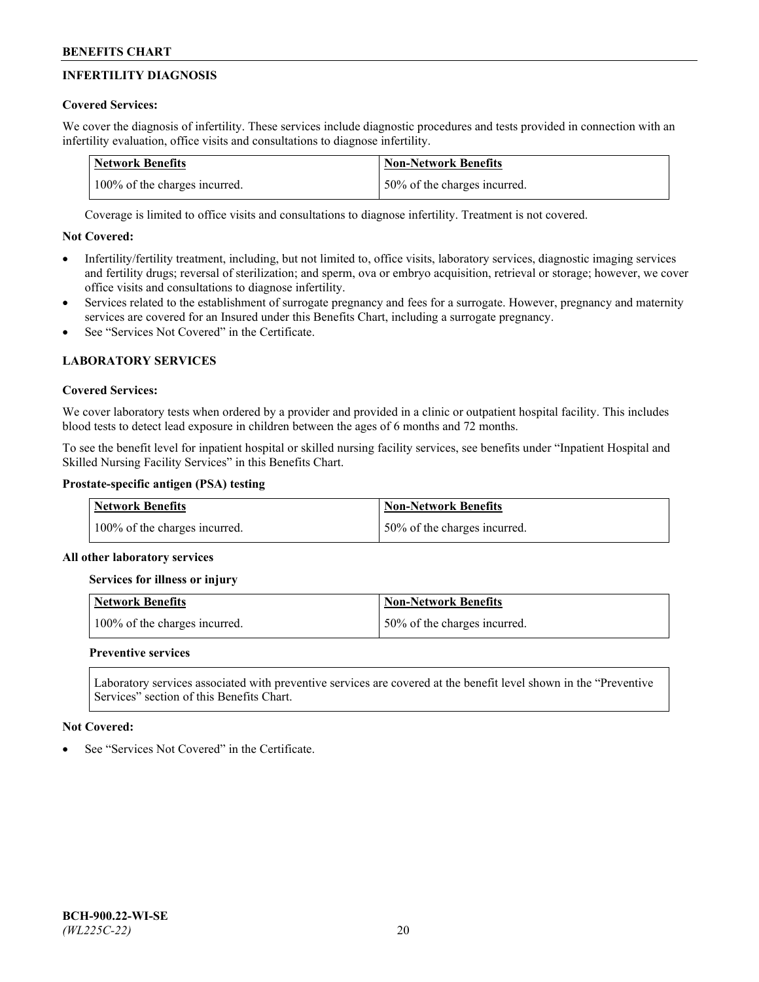# **INFERTILITY DIAGNOSIS**

# **Covered Services:**

We cover the diagnosis of infertility. These services include diagnostic procedures and tests provided in connection with an infertility evaluation, office visits and consultations to diagnose infertility.

| <b>Network Benefits</b>       | <b>Non-Network Benefits</b>  |
|-------------------------------|------------------------------|
| 100% of the charges incurred. | 50% of the charges incurred. |

Coverage is limited to office visits and consultations to diagnose infertility. Treatment is not covered.

# **Not Covered:**

- Infertility/fertility treatment, including, but not limited to, office visits, laboratory services, diagnostic imaging services and fertility drugs; reversal of sterilization; and sperm, ova or embryo acquisition, retrieval or storage; however, we cover office visits and consultations to diagnose infertility.
- Services related to the establishment of surrogate pregnancy and fees for a surrogate. However, pregnancy and maternity services are covered for an Insured under this Benefits Chart, including a surrogate pregnancy.
- See "Services Not Covered" in the Certificate

# **LABORATORY SERVICES**

## **Covered Services:**

We cover laboratory tests when ordered by a provider and provided in a clinic or outpatient hospital facility. This includes blood tests to detect lead exposure in children between the ages of 6 months and 72 months.

To see the benefit level for inpatient hospital or skilled nursing facility services, see benefits under "Inpatient Hospital and Skilled Nursing Facility Services" in this Benefits Chart.

# **Prostate-specific antigen (PSA) testing**

| Network Benefits              | <b>Non-Network Benefits</b>  |
|-------------------------------|------------------------------|
| 100% of the charges incurred. | 50% of the charges incurred. |

## **All other laboratory services**

**Services for illness or injury**

| <b>Network Benefits</b>       | 'Non-Network Benefits        |
|-------------------------------|------------------------------|
| 100% of the charges incurred. | 50% of the charges incurred. |

## **Preventive services**

Laboratory services associated with preventive services are covered at the benefit level shown in the "Preventive Services" section of this Benefits Chart.

## **Not Covered:**

See "Services Not Covered" in the Certificate.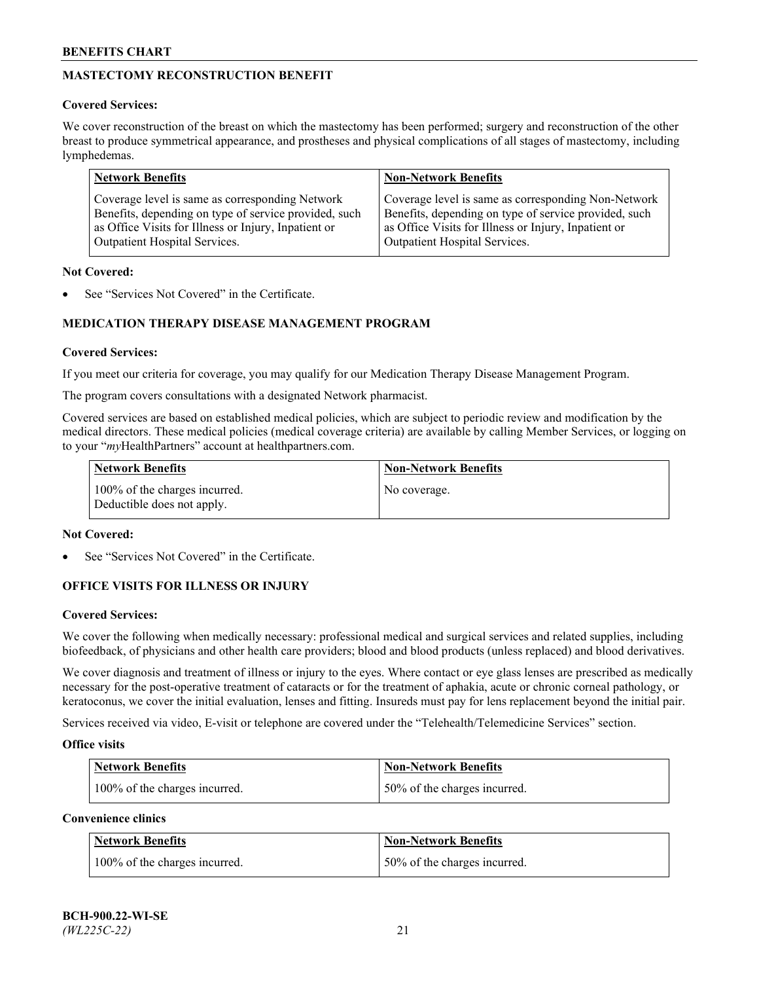# **MASTECTOMY RECONSTRUCTION BENEFIT**

## **Covered Services:**

We cover reconstruction of the breast on which the mastectomy has been performed; surgery and reconstruction of the other breast to produce symmetrical appearance, and prostheses and physical complications of all stages of mastectomy, including lymphedemas.

| <b>Network Benefits</b>                               | <b>Non-Network Benefits</b>                           |
|-------------------------------------------------------|-------------------------------------------------------|
| Coverage level is same as corresponding Network       | Coverage level is same as corresponding Non-Network   |
| Benefits, depending on type of service provided, such | Benefits, depending on type of service provided, such |
| as Office Visits for Illness or Injury, Inpatient or  | as Office Visits for Illness or Injury, Inpatient or  |
| Outpatient Hospital Services.                         | Outpatient Hospital Services.                         |

## **Not Covered:**

See "Services Not Covered" in the Certificate.

# **MEDICATION THERAPY DISEASE MANAGEMENT PROGRAM**

## **Covered Services:**

If you meet our criteria for coverage, you may qualify for our Medication Therapy Disease Management Program.

The program covers consultations with a designated Network pharmacist.

Covered services are based on established medical policies, which are subject to periodic review and modification by the medical directors. These medical policies (medical coverage criteria) are available by calling Member Services, or logging on to your "*my*HealthPartners" account at [healthpartners.com.](http://www.healthpartners.com/)

| Network Benefits                                            | <b>Non-Network Benefits</b> |
|-------------------------------------------------------------|-----------------------------|
| 100% of the charges incurred.<br>Deductible does not apply. | No coverage.                |

## **Not Covered:**

See "Services Not Covered" in the Certificate.

## **OFFICE VISITS FOR ILLNESS OR INJURY**

#### **Covered Services:**

We cover the following when medically necessary: professional medical and surgical services and related supplies, including biofeedback, of physicians and other health care providers; blood and blood products (unless replaced) and blood derivatives.

We cover diagnosis and treatment of illness or injury to the eyes. Where contact or eye glass lenses are prescribed as medically necessary for the post-operative treatment of cataracts or for the treatment of aphakia, acute or chronic corneal pathology, or keratoconus, we cover the initial evaluation, lenses and fitting. Insureds must pay for lens replacement beyond the initial pair.

Services received via video, E-visit or telephone are covered under the "Telehealth/Telemedicine Services" section.

#### **Office visits**

| <b>Network Benefits</b>       | <b>Non-Network Benefits</b>  |
|-------------------------------|------------------------------|
| 100% of the charges incurred. | 50% of the charges incurred. |

**Convenience clinics**

| <b>Network Benefits</b>       | <b>Non-Network Benefits</b>   |
|-------------------------------|-------------------------------|
| 100% of the charges incurred. | 150% of the charges incurred. |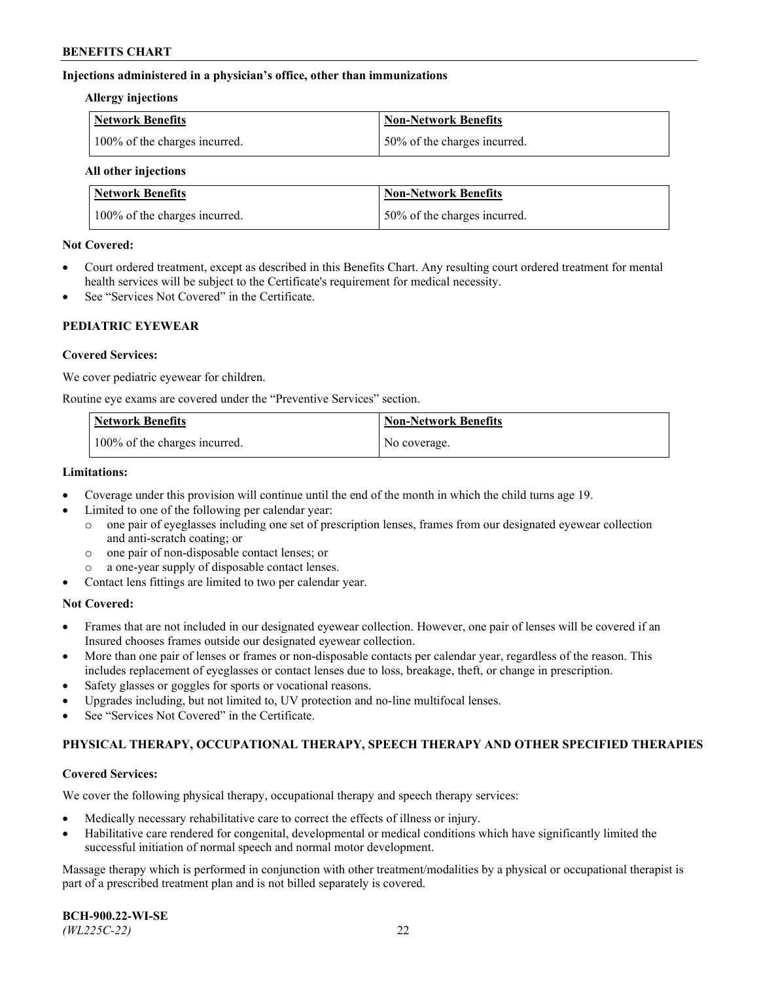## **Injections administered in a physician's office, other than immunizations**

#### **Allergy injections**

| Network Benefits              | Non-Network Benefits          |
|-------------------------------|-------------------------------|
| 100% of the charges incurred. | 150% of the charges incurred. |

#### **All other injections**

| <b>Network Benefits</b>       | <b>Non-Network Benefits</b>  |
|-------------------------------|------------------------------|
| 100% of the charges incurred. | 50% of the charges incurred. |

## **Not Covered:**

- Court ordered treatment, except as described in this Benefits Chart. Any resulting court ordered treatment for mental health services will be subject to the Certificate's requirement for medical necessity.
- See "Services Not Covered" in the Certificate.

## **PEDIATRIC EYEWEAR**

## **Covered Services:**

We cover pediatric eyewear for children.

Routine eye exams are covered under the "Preventive Services" section.

| Network Benefits              | <b>Non-Network Benefits</b> |
|-------------------------------|-----------------------------|
| 100% of the charges incurred. | No coverage.                |

## **Limitations:**

- Coverage under this provision will continue until the end of the month in which the child turns age 19.
- Limited to one of the following per calendar year:
	- o one pair of eyeglasses including one set of prescription lenses, frames from our designated eyewear collection and anti-scratch coating; or
	- o one pair of non-disposable contact lenses; or
	- o a one-year supply of disposable contact lenses.
- Contact lens fittings are limited to two per calendar year.

## **Not Covered:**

- Frames that are not included in our designated eyewear collection. However, one pair of lenses will be covered if an Insured chooses frames outside our designated eyewear collection.
- More than one pair of lenses or frames or non-disposable contacts per calendar year, regardless of the reason. This includes replacement of eyeglasses or contact lenses due to loss, breakage, theft, or change in prescription.
- Safety glasses or goggles for sports or vocational reasons.
- Upgrades including, but not limited to, UV protection and no-line multifocal lenses.
- See "Services Not Covered" in the Certificate.

## **PHYSICAL THERAPY, OCCUPATIONAL THERAPY, SPEECH THERAPY AND OTHER SPECIFIED THERAPIES**

#### **Covered Services:**

We cover the following physical therapy, occupational therapy and speech therapy services:

- Medically necessary rehabilitative care to correct the effects of illness or injury.
- Habilitative care rendered for congenital, developmental or medical conditions which have significantly limited the successful initiation of normal speech and normal motor development.

Massage therapy which is performed in conjunction with other treatment/modalities by a physical or occupational therapist is part of a prescribed treatment plan and is not billed separately is covered.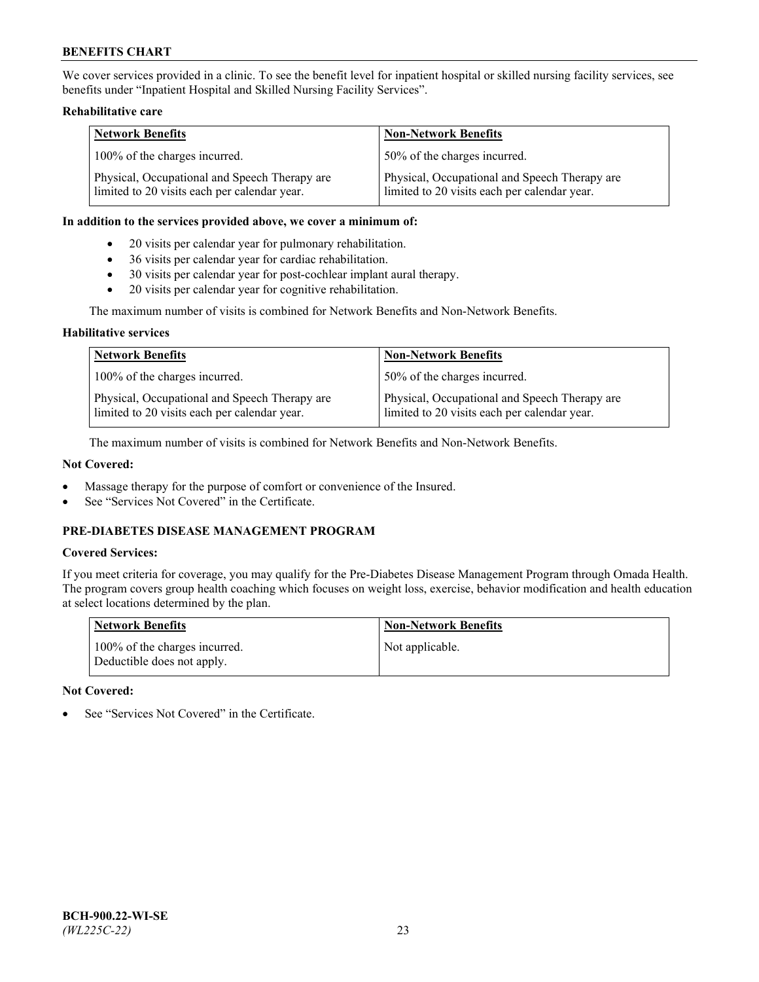We cover services provided in a clinic. To see the benefit level for inpatient hospital or skilled nursing facility services, see benefits under "Inpatient Hospital and Skilled Nursing Facility Services".

## **Rehabilitative care**

| <b>Network Benefits</b>                                                                       | <b>Non-Network Benefits</b>                                                                   |
|-----------------------------------------------------------------------------------------------|-----------------------------------------------------------------------------------------------|
| 100% of the charges incurred.                                                                 | 50% of the charges incurred.                                                                  |
| Physical, Occupational and Speech Therapy are<br>limited to 20 visits each per calendar year. | Physical, Occupational and Speech Therapy are<br>limited to 20 visits each per calendar year. |

#### **In addition to the services provided above, we cover a minimum of:**

- 20 visits per calendar year for pulmonary rehabilitation.
- 36 visits per calendar year for cardiac rehabilitation.
- 30 visits per calendar year for post-cochlear implant aural therapy.
- 20 visits per calendar year for cognitive rehabilitation.

The maximum number of visits is combined for Network Benefits and Non-Network Benefits.

## **Habilitative services**

| <b>Network Benefits</b>                                                                       | <b>Non-Network Benefits</b>                                                                   |
|-----------------------------------------------------------------------------------------------|-----------------------------------------------------------------------------------------------|
| 100% of the charges incurred.                                                                 | 50% of the charges incurred.                                                                  |
| Physical, Occupational and Speech Therapy are<br>limited to 20 visits each per calendar year. | Physical, Occupational and Speech Therapy are<br>limited to 20 visits each per calendar year. |

The maximum number of visits is combined for Network Benefits and Non-Network Benefits.

## **Not Covered:**

- Massage therapy for the purpose of comfort or convenience of the Insured.
- See "Services Not Covered" in the Certificate.

# **PRE-DIABETES DISEASE MANAGEMENT PROGRAM**

# **Covered Services:**

If you meet criteria for coverage, you may qualify for the Pre-Diabetes Disease Management Program through Omada Health. The program covers group health coaching which focuses on weight loss, exercise, behavior modification and health education at select locations determined by the plan.

| <b>Network Benefits</b>                                     | <b>Non-Network Benefits</b> |
|-------------------------------------------------------------|-----------------------------|
| 100% of the charges incurred.<br>Deductible does not apply. | Not applicable.             |

## **Not Covered:**

See "Services Not Covered" in the Certificate.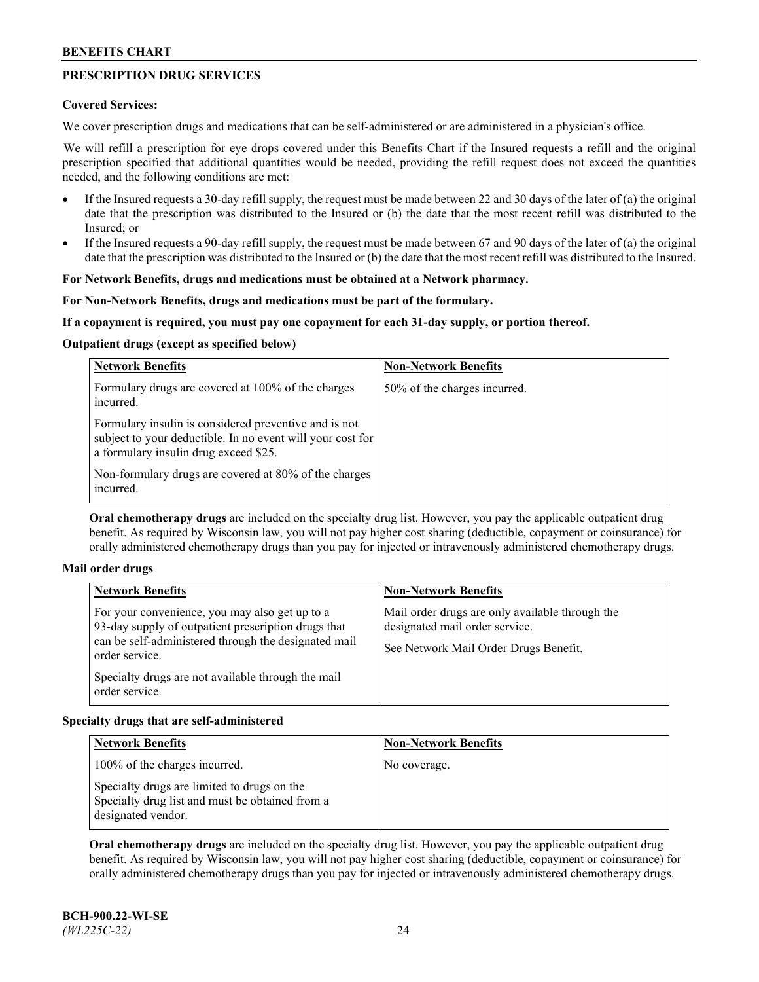# **PRESCRIPTION DRUG SERVICES**

## **Covered Services:**

We cover prescription drugs and medications that can be self-administered or are administered in a physician's office.

We will refill a prescription for eye drops covered under this Benefits Chart if the Insured requests a refill and the original prescription specified that additional quantities would be needed, providing the refill request does not exceed the quantities needed, and the following conditions are met:

- If the Insured requests a 30-day refill supply, the request must be made between 22 and 30 days of the later of (a) the original date that the prescription was distributed to the Insured or (b) the date that the most recent refill was distributed to the Insured; or
- If the Insured requests a 90-day refill supply, the request must be made between 67 and 90 days of the later of (a) the original date that the prescription was distributed to the Insured or (b) the date that the most recent refill was distributed to the Insured.

## **For Network Benefits, drugs and medications must be obtained at a Network pharmacy.**

## **For Non-Network Benefits, drugs and medications must be part of the formulary.**

## **If a copayment is required, you must pay one copayment for each 31-day supply, or portion thereof.**

## **Outpatient drugs (except as specified below)**

| <b>Network Benefits</b>                                                                                                                                      | <b>Non-Network Benefits</b>  |
|--------------------------------------------------------------------------------------------------------------------------------------------------------------|------------------------------|
| Formulary drugs are covered at 100% of the charges<br>incurred.                                                                                              | 50% of the charges incurred. |
| Formulary insulin is considered preventive and is not<br>subject to your deductible. In no event will your cost for<br>a formulary insulin drug exceed \$25. |                              |
| Non-formulary drugs are covered at 80% of the charges<br>incurred.                                                                                           |                              |

**Oral chemotherapy drugs** are included on the specialty drug list. However, you pay the applicable outpatient drug benefit. As required by Wisconsin law, you will not pay higher cost sharing (deductible, copayment or coinsurance) for orally administered chemotherapy drugs than you pay for injected or intravenously administered chemotherapy drugs.

#### **Mail order drugs**

| For your convenience, you may also get up to a                                                                                                                                                        |                                                                                                                            |
|-------------------------------------------------------------------------------------------------------------------------------------------------------------------------------------------------------|----------------------------------------------------------------------------------------------------------------------------|
| 93-day supply of outpatient prescription drugs that<br>can be self-administered through the designated mail<br>order service.<br>Specialty drugs are not available through the mail<br>order service. | Mail order drugs are only available through the<br>designated mail order service.<br>See Network Mail Order Drugs Benefit. |

## **Specialty drugs that are self-administered**

| <b>Network Benefits</b>                                                                                              | <b>Non-Network Benefits</b> |
|----------------------------------------------------------------------------------------------------------------------|-----------------------------|
| 100% of the charges incurred.                                                                                        | No coverage.                |
| Specialty drugs are limited to drugs on the<br>Specialty drug list and must be obtained from a<br>designated vendor. |                             |

**Oral chemotherapy drugs** are included on the specialty drug list. However, you pay the applicable outpatient drug benefit. As required by Wisconsin law, you will not pay higher cost sharing (deductible, copayment or coinsurance) for orally administered chemotherapy drugs than you pay for injected or intravenously administered chemotherapy drugs.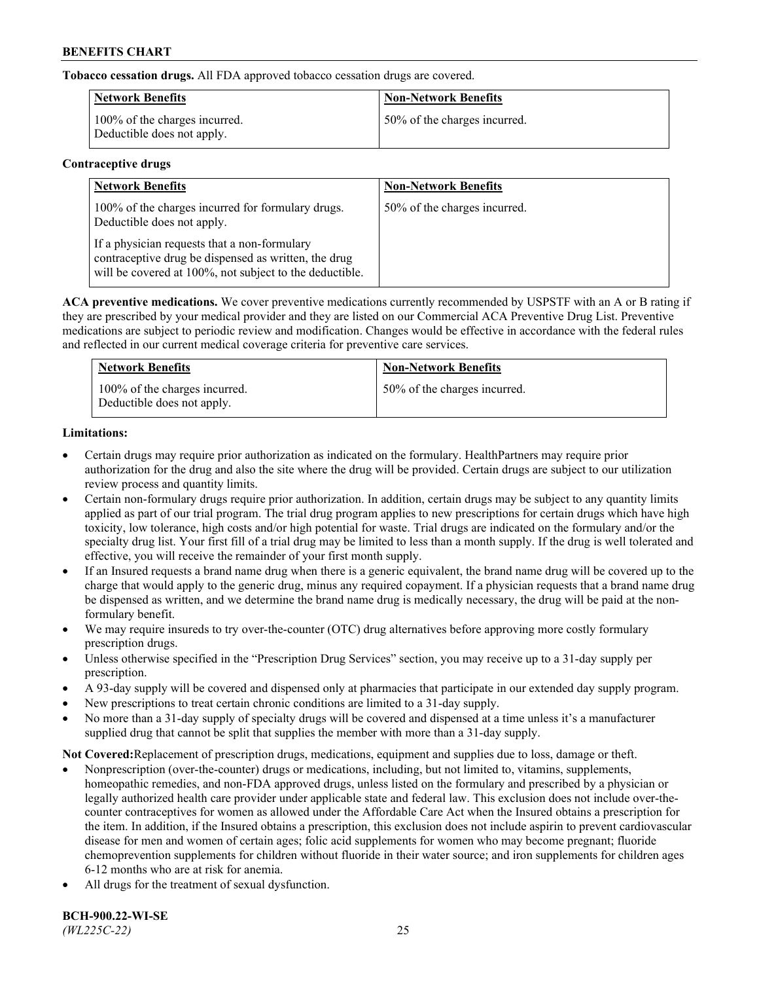**Tobacco cessation drugs.** All FDA approved tobacco cessation drugs are covered.

| Network Benefits                                            | <b>Non-Network Benefits</b>  |
|-------------------------------------------------------------|------------------------------|
| 100% of the charges incurred.<br>Deductible does not apply. | 50% of the charges incurred. |

## **Contraceptive drugs**

| <b>Network Benefits</b>                                                                                                                                         | <b>Non-Network Benefits</b>  |
|-----------------------------------------------------------------------------------------------------------------------------------------------------------------|------------------------------|
| 100% of the charges incurred for formulary drugs.<br>Deductible does not apply.                                                                                 | 50% of the charges incurred. |
| If a physician requests that a non-formulary<br>contraceptive drug be dispensed as written, the drug<br>will be covered at 100%, not subject to the deductible. |                              |

**ACA preventive medications.** We cover preventive medications currently recommended by USPSTF with an A or B rating if they are prescribed by your medical provider and they are listed on our Commercial ACA Preventive Drug List. Preventive medications are subject to periodic review and modification. Changes would be effective in accordance with the federal rules and reflected in our current medical coverage criteria for preventive care services.

| <b>Network Benefits</b>                                     | <b>Non-Network Benefits</b>  |
|-------------------------------------------------------------|------------------------------|
| 100% of the charges incurred.<br>Deductible does not apply. | 50% of the charges incurred. |

# **Limitations:**

- Certain drugs may require prior authorization as indicated on the formulary. HealthPartners may require prior authorization for the drug and also the site where the drug will be provided. Certain drugs are subject to our utilization review process and quantity limits.
- Certain non-formulary drugs require prior authorization. In addition, certain drugs may be subject to any quantity limits applied as part of our trial program. The trial drug program applies to new prescriptions for certain drugs which have high toxicity, low tolerance, high costs and/or high potential for waste. Trial drugs are indicated on the formulary and/or the specialty drug list. Your first fill of a trial drug may be limited to less than a month supply. If the drug is well tolerated and effective, you will receive the remainder of your first month supply.
- If an Insured requests a brand name drug when there is a generic equivalent, the brand name drug will be covered up to the charge that would apply to the generic drug, minus any required copayment. If a physician requests that a brand name drug be dispensed as written, and we determine the brand name drug is medically necessary, the drug will be paid at the nonformulary benefit.
- We may require insureds to try over-the-counter (OTC) drug alternatives before approving more costly formulary prescription drugs.
- Unless otherwise specified in the "Prescription Drug Services" section, you may receive up to a 31-day supply per prescription.
- A 93-day supply will be covered and dispensed only at pharmacies that participate in our extended day supply program.
- New prescriptions to treat certain chronic conditions are limited to a 31-day supply.
- No more than a 31-day supply of specialty drugs will be covered and dispensed at a time unless it's a manufacturer supplied drug that cannot be split that supplies the member with more than a 31-day supply.

**Not Covered:**Replacement of prescription drugs, medications, equipment and supplies due to loss, damage or theft.

- Nonprescription (over-the-counter) drugs or medications, including, but not limited to, vitamins, supplements, homeopathic remedies, and non-FDA approved drugs, unless listed on the formulary and prescribed by a physician or legally authorized health care provider under applicable state and federal law. This exclusion does not include over-thecounter contraceptives for women as allowed under the Affordable Care Act when the Insured obtains a prescription for the item. In addition, if the Insured obtains a prescription, this exclusion does not include aspirin to prevent cardiovascular disease for men and women of certain ages; folic acid supplements for women who may become pregnant; fluoride chemoprevention supplements for children without fluoride in their water source; and iron supplements for children ages 6-12 months who are at risk for anemia.
- All drugs for the treatment of sexual dysfunction.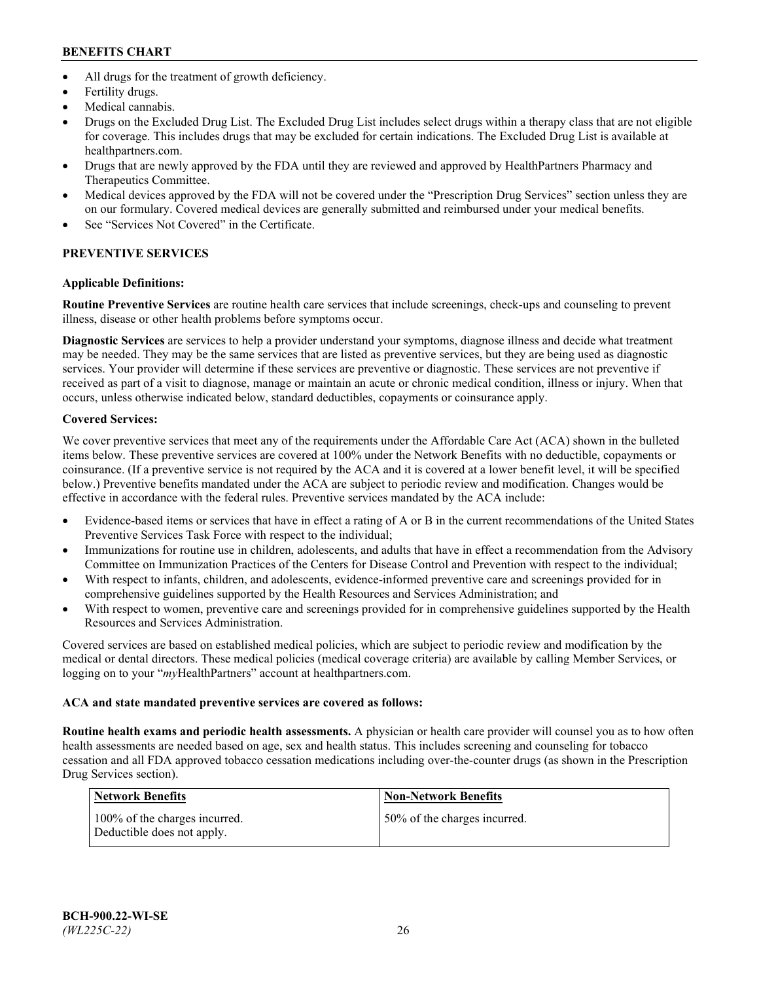- All drugs for the treatment of growth deficiency.
- Fertility drugs.
- Medical cannabis.
- Drugs on the Excluded Drug List. The Excluded Drug List includes select drugs within a therapy class that are not eligible for coverage. This includes drugs that may be excluded for certain indications. The Excluded Drug List is available at [healthpartners.com.](http://www.healthpartners.com/)
- Drugs that are newly approved by the FDA until they are reviewed and approved by HealthPartners Pharmacy and Therapeutics Committee.
- Medical devices approved by the FDA will not be covered under the "Prescription Drug Services" section unless they are on our formulary. Covered medical devices are generally submitted and reimbursed under your medical benefits.
- See "Services Not Covered" in the Certificate.

# **PREVENTIVE SERVICES**

# **Applicable Definitions:**

**Routine Preventive Services** are routine health care services that include screenings, check-ups and counseling to prevent illness, disease or other health problems before symptoms occur.

**Diagnostic Services** are services to help a provider understand your symptoms, diagnose illness and decide what treatment may be needed. They may be the same services that are listed as preventive services, but they are being used as diagnostic services. Your provider will determine if these services are preventive or diagnostic. These services are not preventive if received as part of a visit to diagnose, manage or maintain an acute or chronic medical condition, illness or injury. When that occurs, unless otherwise indicated below, standard deductibles, copayments or coinsurance apply.

# **Covered Services:**

We cover preventive services that meet any of the requirements under the Affordable Care Act (ACA) shown in the bulleted items below. These preventive services are covered at 100% under the Network Benefits with no deductible, copayments or coinsurance. (If a preventive service is not required by the ACA and it is covered at a lower benefit level, it will be specified below.) Preventive benefits mandated under the ACA are subject to periodic review and modification. Changes would be effective in accordance with the federal rules. Preventive services mandated by the ACA include:

- Evidence-based items or services that have in effect a rating of A or B in the current recommendations of the United States Preventive Services Task Force with respect to the individual;
- Immunizations for routine use in children, adolescents, and adults that have in effect a recommendation from the Advisory Committee on Immunization Practices of the Centers for Disease Control and Prevention with respect to the individual;
- With respect to infants, children, and adolescents, evidence-informed preventive care and screenings provided for in comprehensive guidelines supported by the Health Resources and Services Administration; and
- With respect to women, preventive care and screenings provided for in comprehensive guidelines supported by the Health Resources and Services Administration.

Covered services are based on established medical policies, which are subject to periodic review and modification by the medical or dental directors. These medical policies (medical coverage criteria) are available by calling Member Services, or logging on to your "*my*HealthPartners" account at [healthpartners.com.](https://www.healthpartners.com/hp/index.html)

# **ACA and state mandated preventive services are covered as follows:**

**Routine health exams and periodic health assessments.** A physician or health care provider will counsel you as to how often health assessments are needed based on age, sex and health status. This includes screening and counseling for tobacco cessation and all FDA approved tobacco cessation medications including over-the-counter drugs (as shown in the Prescription Drug Services section).

| Network Benefits                                            | <b>Non-Network Benefits</b>  |
|-------------------------------------------------------------|------------------------------|
| 100% of the charges incurred.<br>Deductible does not apply. | 50% of the charges incurred. |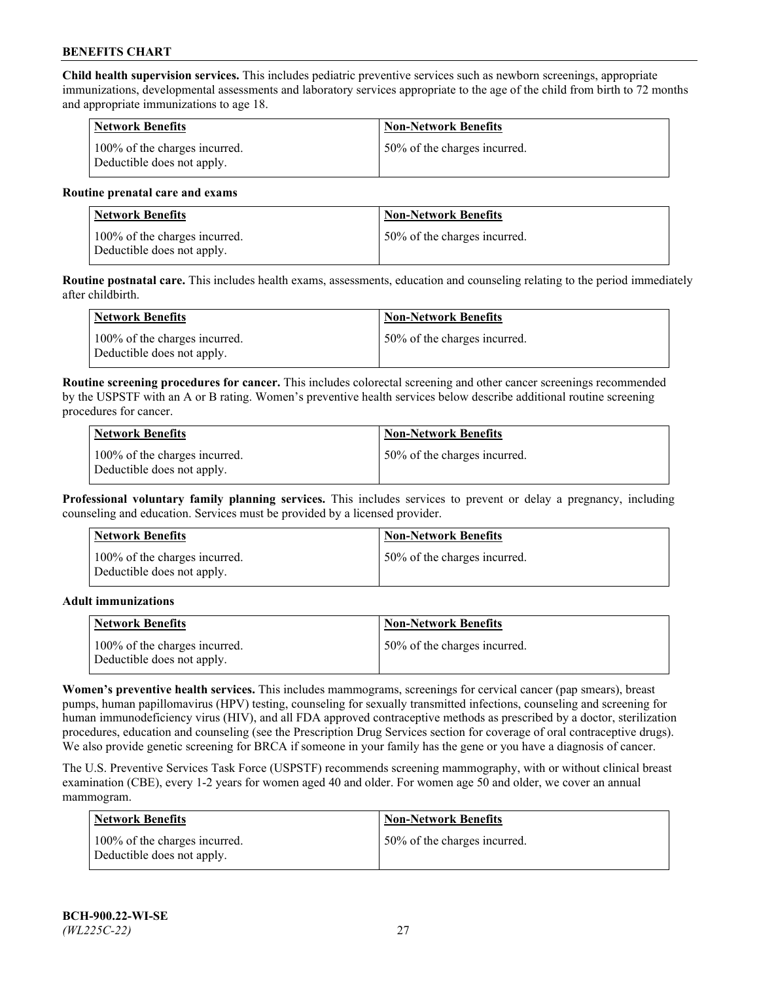**Child health supervision services.** This includes pediatric preventive services such as newborn screenings, appropriate immunizations, developmental assessments and laboratory services appropriate to the age of the child from birth to 72 months and appropriate immunizations to age 18.

| <b>Network Benefits</b>                                     | <b>Non-Network Benefits</b>  |
|-------------------------------------------------------------|------------------------------|
| 100% of the charges incurred.<br>Deductible does not apply. | 50% of the charges incurred. |

#### **Routine prenatal care and exams**

| Network Benefits                                            | <b>Non-Network Benefits</b>  |
|-------------------------------------------------------------|------------------------------|
| 100% of the charges incurred.<br>Deductible does not apply. | 50% of the charges incurred. |

**Routine postnatal care.** This includes health exams, assessments, education and counseling relating to the period immediately after childbirth.

| Network Benefits                                            | <b>Non-Network Benefits</b>  |
|-------------------------------------------------------------|------------------------------|
| 100% of the charges incurred.<br>Deductible does not apply. | 50% of the charges incurred. |

**Routine screening procedures for cancer.** This includes colorectal screening and other cancer screenings recommended by the USPSTF with an A or B rating. Women's preventive health services below describe additional routine screening procedures for cancer.

| <b>Network Benefits</b>                                     | <b>Non-Network Benefits</b>  |
|-------------------------------------------------------------|------------------------------|
| 100% of the charges incurred.<br>Deductible does not apply. | 50% of the charges incurred. |

**Professional voluntary family planning services.** This includes services to prevent or delay a pregnancy, including counseling and education. Services must be provided by a licensed provider.

| <b>Network Benefits</b>                                     | <b>Non-Network Benefits</b>  |
|-------------------------------------------------------------|------------------------------|
| 100% of the charges incurred.<br>Deductible does not apply. | 50% of the charges incurred. |

#### **Adult immunizations**

| <b>Network Benefits</b>                                     | <b>Non-Network Benefits</b>  |
|-------------------------------------------------------------|------------------------------|
| 100% of the charges incurred.<br>Deductible does not apply. | 50% of the charges incurred. |

**Women's preventive health services.** This includes mammograms, screenings for cervical cancer (pap smears), breast pumps, human papillomavirus (HPV) testing, counseling for sexually transmitted infections, counseling and screening for human immunodeficiency virus (HIV), and all FDA approved contraceptive methods as prescribed by a doctor, sterilization procedures, education and counseling (see the Prescription Drug Services section for coverage of oral contraceptive drugs). We also provide genetic screening for BRCA if someone in your family has the gene or you have a diagnosis of cancer.

The U.S. Preventive Services Task Force (USPSTF) recommends screening mammography, with or without clinical breast examination (CBE), every 1-2 years for women aged 40 and older. For women age 50 and older, we cover an annual mammogram.

| <b>Network Benefits</b>                                     | <b>Non-Network Benefits</b>  |
|-------------------------------------------------------------|------------------------------|
| 100% of the charges incurred.<br>Deductible does not apply. | 50% of the charges incurred. |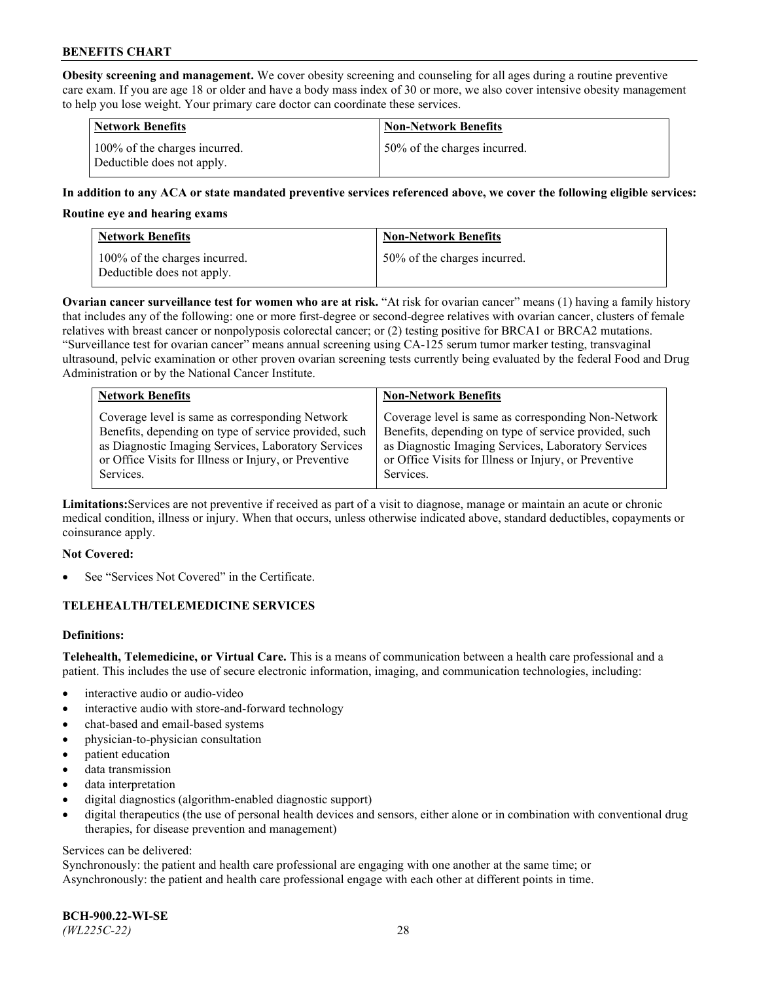**Obesity screening and management.** We cover obesity screening and counseling for all ages during a routine preventive care exam. If you are age 18 or older and have a body mass index of 30 or more, we also cover intensive obesity management to help you lose weight. Your primary care doctor can coordinate these services.

| <b>Network Benefits</b>                                     | <b>Non-Network Benefits</b>  |
|-------------------------------------------------------------|------------------------------|
| 100% of the charges incurred.<br>Deductible does not apply. | 50% of the charges incurred. |

## **In addition to any ACA or state mandated preventive services referenced above, we cover the following eligible services:**

#### **Routine eye and hearing exams**

| <b>Network Benefits</b>                                     | <b>Non-Network Benefits</b>  |
|-------------------------------------------------------------|------------------------------|
| 100% of the charges incurred.<br>Deductible does not apply. | 50% of the charges incurred. |

**Ovarian cancer surveillance test for women who are at risk.** "At risk for ovarian cancer" means (1) having a family history that includes any of the following: one or more first-degree or second-degree relatives with ovarian cancer, clusters of female relatives with breast cancer or nonpolyposis colorectal cancer; or (2) testing positive for BRCA1 or BRCA2 mutations. "Surveillance test for ovarian cancer" means annual screening using CA-125 serum tumor marker testing, transvaginal ultrasound, pelvic examination or other proven ovarian screening tests currently being evaluated by the federal Food and Drug Administration or by the National Cancer Institute.

| <b>Network Benefits</b>                               | <b>Non-Network Benefits</b>                           |
|-------------------------------------------------------|-------------------------------------------------------|
| Coverage level is same as corresponding Network       | Coverage level is same as corresponding Non-Network   |
| Benefits, depending on type of service provided, such | Benefits, depending on type of service provided, such |
| as Diagnostic Imaging Services, Laboratory Services   | as Diagnostic Imaging Services, Laboratory Services   |
| or Office Visits for Illness or Injury, or Preventive | or Office Visits for Illness or Injury, or Preventive |
| Services.                                             | Services.                                             |

**Limitations:**Services are not preventive if received as part of a visit to diagnose, manage or maintain an acute or chronic medical condition, illness or injury. When that occurs, unless otherwise indicated above, standard deductibles, copayments or coinsurance apply.

#### **Not Covered:**

See "Services Not Covered" in the Certificate.

## **TELEHEALTH/TELEMEDICINE SERVICES**

## **Definitions:**

**Telehealth, Telemedicine, or Virtual Care.** This is a means of communication between a health care professional and a patient. This includes the use of secure electronic information, imaging, and communication technologies, including:

- interactive audio or audio-video
- interactive audio with store-and-forward technology
- chat-based and email-based systems
- physician-to-physician consultation
- patient education
- data transmission
- data interpretation
- digital diagnostics (algorithm-enabled diagnostic support)
- digital therapeutics (the use of personal health devices and sensors, either alone or in combination with conventional drug therapies, for disease prevention and management)

#### Services can be delivered:

Synchronously: the patient and health care professional are engaging with one another at the same time; or Asynchronously: the patient and health care professional engage with each other at different points in time.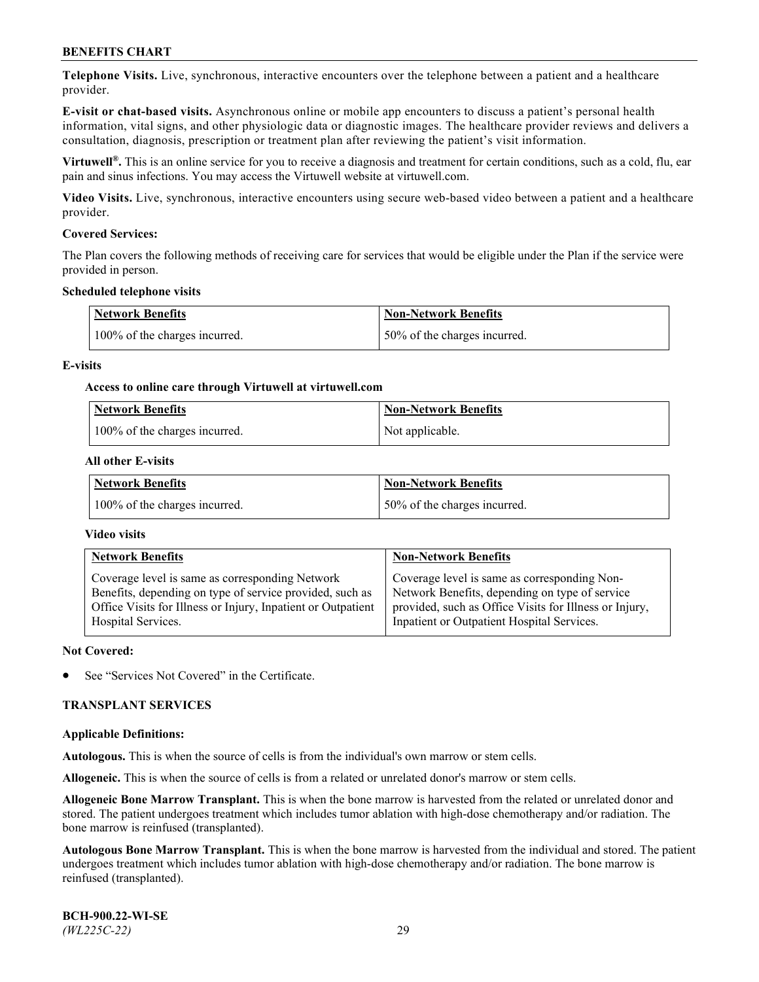**Telephone Visits.** Live, synchronous, interactive encounters over the telephone between a patient and a healthcare provider.

**E-visit or chat-based visits.** Asynchronous online or mobile app encounters to discuss a patient's personal health information, vital signs, and other physiologic data or diagnostic images. The healthcare provider reviews and delivers a consultation, diagnosis, prescription or treatment plan after reviewing the patient's visit information.

**Virtuwell®.** This is an online service for you to receive a diagnosis and treatment for certain conditions, such as a cold, flu, ear pain and sinus infections. You may access the Virtuwell website at [virtuwell.com.](https://www.virtuwell.com/)

**Video Visits.** Live, synchronous, interactive encounters using secure web-based video between a patient and a healthcare provider.

## **Covered Services:**

The Plan covers the following methods of receiving care for services that would be eligible under the Plan if the service were provided in person.

#### **Scheduled telephone visits**

| <b>Network Benefits</b>       | <b>Non-Network Benefits</b>  |
|-------------------------------|------------------------------|
| 100% of the charges incurred. | 50% of the charges incurred. |

## **E-visits**

## **Access to online care through Virtuwell at [virtuwell.com](https://www.virtuwell.com/)**

| <b>Network Benefits</b>       | <b>Non-Network Benefits</b> |
|-------------------------------|-----------------------------|
| 100% of the charges incurred. | Not applicable.             |

## **All other E-visits**

| <b>Network Benefits</b>       | <b>Non-Network Benefits</b>  |
|-------------------------------|------------------------------|
| 100% of the charges incurred. | 50% of the charges incurred. |

## **Video visits**

| <b>Network Benefits</b>                                      | <b>Non-Network Benefits</b>                            |
|--------------------------------------------------------------|--------------------------------------------------------|
| Coverage level is same as corresponding Network              | Coverage level is same as corresponding Non-           |
| Benefits, depending on type of service provided, such as     | Network Benefits, depending on type of service         |
| Office Visits for Illness or Injury, Inpatient or Outpatient | provided, such as Office Visits for Illness or Injury, |
| Hospital Services.                                           | Inpatient or Outpatient Hospital Services.             |

#### **Not Covered:**

See "Services Not Covered" in the Certificate.

## **TRANSPLANT SERVICES**

#### **Applicable Definitions:**

**Autologous.** This is when the source of cells is from the individual's own marrow or stem cells.

**Allogeneic.** This is when the source of cells is from a related or unrelated donor's marrow or stem cells.

**Allogeneic Bone Marrow Transplant.** This is when the bone marrow is harvested from the related or unrelated donor and stored. The patient undergoes treatment which includes tumor ablation with high-dose chemotherapy and/or radiation. The bone marrow is reinfused (transplanted).

**Autologous Bone Marrow Transplant.** This is when the bone marrow is harvested from the individual and stored. The patient undergoes treatment which includes tumor ablation with high-dose chemotherapy and/or radiation. The bone marrow is reinfused (transplanted).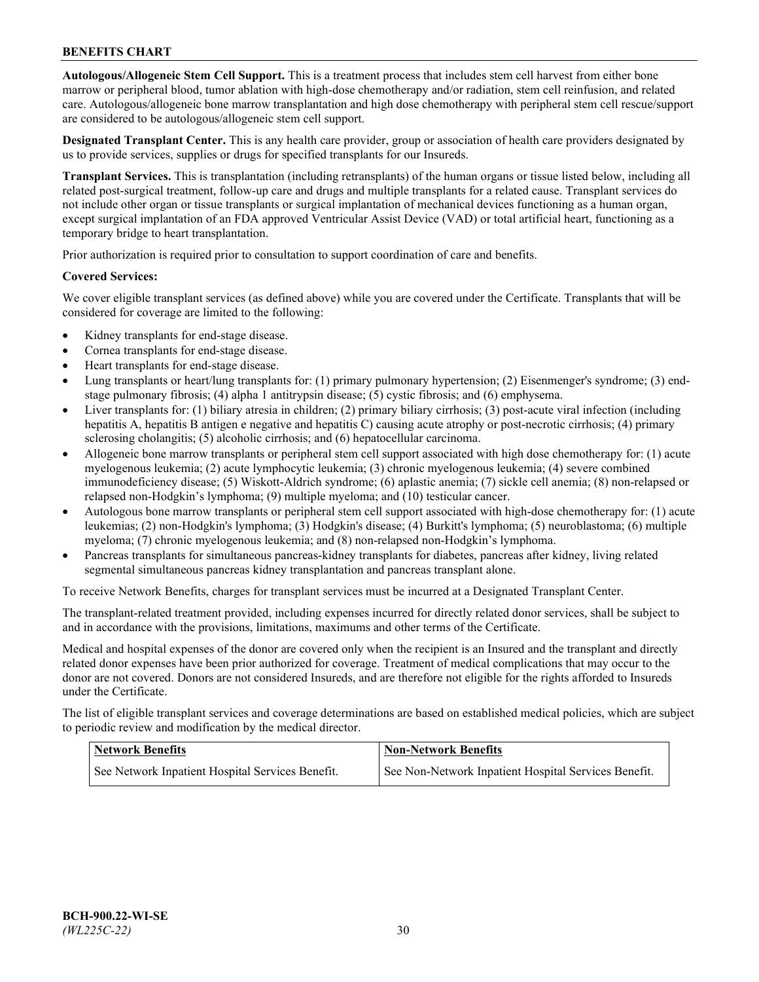**Autologous/Allogeneic Stem Cell Support.** This is a treatment process that includes stem cell harvest from either bone marrow or peripheral blood, tumor ablation with high-dose chemotherapy and/or radiation, stem cell reinfusion, and related care. Autologous/allogeneic bone marrow transplantation and high dose chemotherapy with peripheral stem cell rescue/support are considered to be autologous/allogeneic stem cell support.

**Designated Transplant Center.** This is any health care provider, group or association of health care providers designated by us to provide services, supplies or drugs for specified transplants for our Insureds.

**Transplant Services.** This is transplantation (including retransplants) of the human organs or tissue listed below, including all related post-surgical treatment, follow-up care and drugs and multiple transplants for a related cause. Transplant services do not include other organ or tissue transplants or surgical implantation of mechanical devices functioning as a human organ, except surgical implantation of an FDA approved Ventricular Assist Device (VAD) or total artificial heart, functioning as a temporary bridge to heart transplantation.

Prior authorization is required prior to consultation to support coordination of care and benefits.

## **Covered Services:**

We cover eligible transplant services (as defined above) while you are covered under the Certificate. Transplants that will be considered for coverage are limited to the following:

- Kidney transplants for end-stage disease.
- Cornea transplants for end-stage disease.
- Heart transplants for end-stage disease.
- Lung transplants or heart/lung transplants for: (1) primary pulmonary hypertension; (2) Eisenmenger's syndrome; (3) endstage pulmonary fibrosis; (4) alpha 1 antitrypsin disease; (5) cystic fibrosis; and (6) emphysema.
- Liver transplants for: (1) biliary atresia in children; (2) primary biliary cirrhosis; (3) post-acute viral infection (including hepatitis A, hepatitis B antigen e negative and hepatitis C) causing acute atrophy or post-necrotic cirrhosis; (4) primary sclerosing cholangitis; (5) alcoholic cirrhosis; and (6) hepatocellular carcinoma.
- Allogeneic bone marrow transplants or peripheral stem cell support associated with high dose chemotherapy for: (1) acute myelogenous leukemia; (2) acute lymphocytic leukemia; (3) chronic myelogenous leukemia; (4) severe combined immunodeficiency disease; (5) Wiskott-Aldrich syndrome; (6) aplastic anemia; (7) sickle cell anemia; (8) non-relapsed or relapsed non-Hodgkin's lymphoma; (9) multiple myeloma; and (10) testicular cancer.
- Autologous bone marrow transplants or peripheral stem cell support associated with high-dose chemotherapy for: (1) acute leukemias; (2) non-Hodgkin's lymphoma; (3) Hodgkin's disease; (4) Burkitt's lymphoma; (5) neuroblastoma; (6) multiple myeloma; (7) chronic myelogenous leukemia; and (8) non-relapsed non-Hodgkin's lymphoma.
- Pancreas transplants for simultaneous pancreas-kidney transplants for diabetes, pancreas after kidney, living related segmental simultaneous pancreas kidney transplantation and pancreas transplant alone.

To receive Network Benefits, charges for transplant services must be incurred at a Designated Transplant Center.

The transplant-related treatment provided, including expenses incurred for directly related donor services, shall be subject to and in accordance with the provisions, limitations, maximums and other terms of the Certificate.

Medical and hospital expenses of the donor are covered only when the recipient is an Insured and the transplant and directly related donor expenses have been prior authorized for coverage. Treatment of medical complications that may occur to the donor are not covered. Donors are not considered Insureds, and are therefore not eligible for the rights afforded to Insureds under the Certificate.

The list of eligible transplant services and coverage determinations are based on established medical policies, which are subject to periodic review and modification by the medical director.

| <b>Network Benefits</b>                          | <b>Non-Network Benefits</b>                          |
|--------------------------------------------------|------------------------------------------------------|
| See Network Inpatient Hospital Services Benefit. | See Non-Network Inpatient Hospital Services Benefit. |